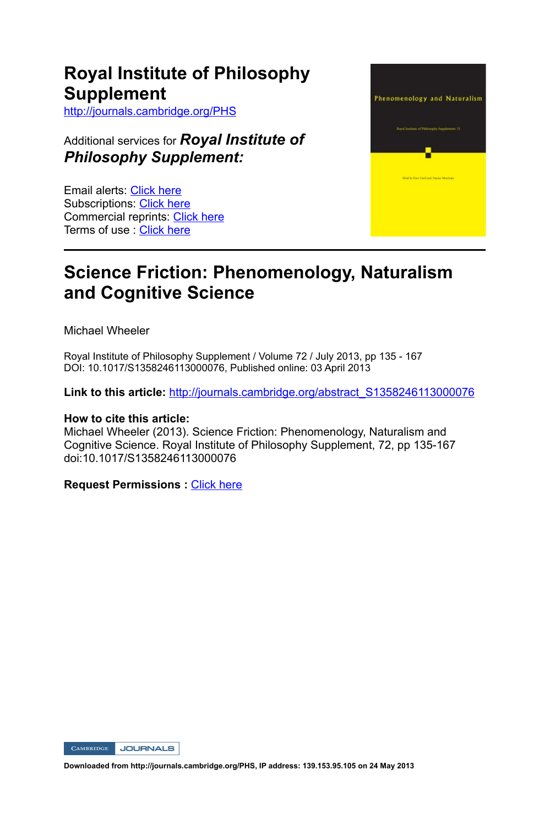# **Royal Institute of Philosophy Supplement**

http://journals.cambridge.org/PHS

Additional services for *Royal Institute of Philosophy Supplement:*

Email alerts: Click here Subscriptions: Click here Commercial reprints: Click here Terms of use : Click here



# **Science Friction: Phenomenology, Naturalism and Cognitive Science**

Michael Wheeler

Royal Institute of Philosophy Supplement / Volume 72 / July 2013, pp 135 - 167 DOI: 10.1017/S1358246113000076, Published online: 03 April 2013

**Link to this article:** http://journals.cambridge.org/abstract\_S1358246113000076

#### **How to cite this article:**

Michael Wheeler (2013). Science Friction: Phenomenology, Naturalism and Cognitive Science. Royal Institute of Philosophy Supplement, 72, pp 135-167 doi:10.1017/S1358246113000076

#### **Request Permissions :** Click here

CAMBRIDGE JOURNALS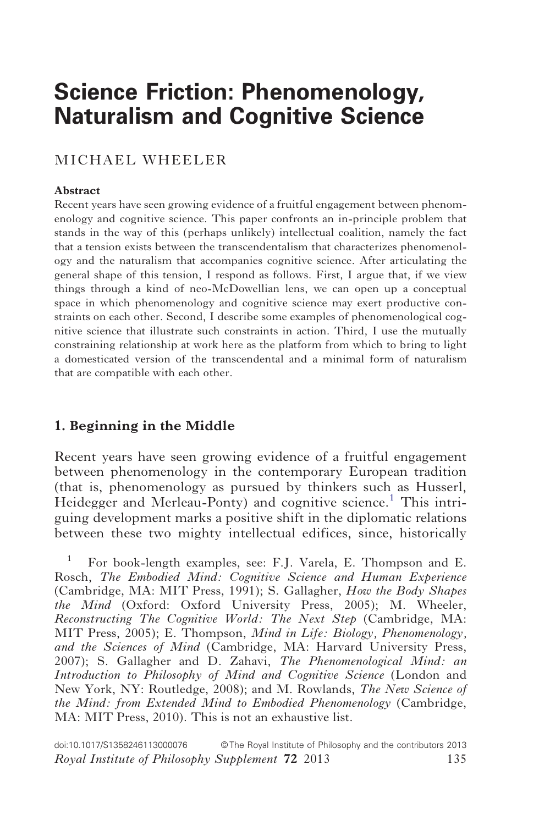# Science Friction: Phenomenology, Naturalism and Cognitive Science

#### MICHAEL WHEELER

#### Abstract

Recent years have seen growing evidence of a fruitful engagement between phenomenology and cognitive science. This paper confronts an in-principle problem that stands in the way of this (perhaps unlikely) intellectual coalition, namely the fact that a tension exists between the transcendentalism that characterizes phenomenology and the naturalism that accompanies cognitive science. After articulating the general shape of this tension, I respond as follows. First, I argue that, if we view things through a kind of neo-McDowellian lens, we can open up a conceptual space in which phenomenology and cognitive science may exert productive constraints on each other. Second, I describe some examples of phenomenological cognitive science that illustrate such constraints in action. Third, I use the mutually constraining relationship at work here as the platform from which to bring to light a domesticated version of the transcendental and a minimal form of naturalism that are compatible with each other.

#### 1. Beginning in the Middle

Recent years have seen growing evidence of a fruitful engagement between phenomenology in the contemporary European tradition (that is, phenomenology as pursued by thinkers such as Husserl, Heidegger and Merleau-Ponty) and cognitive science.<sup>1</sup> This intriguing development marks a positive shift in the diplomatic relations between these two mighty intellectual edifices, since, historically

<sup>1</sup> For book-length examples, see: F.J. Varela, E. Thompson and E. Rosch, The Embodied Mind: Cognitive Science and Human Experience (Cambridge, MA: MIT Press, 1991); S. Gallagher, How the Body Shapes the Mind (Oxford: Oxford University Press, 2005); M. Wheeler, Reconstructing The Cognitive World: The Next Step (Cambridge, MA: MIT Press, 2005); E. Thompson, *Mind in Life: Biology, Phenomenology*, and the Sciences of Mind (Cambridge, MA: Harvard University Press, 2007); S. Gallagher and D. Zahavi, The Phenomenological Mind: an Introduction to Philosophy of Mind and Cognitive Science (London and New York, NY: Routledge, 2008); and M. Rowlands, The New Science of the Mind: from Extended Mind to Embodied Phenomenology (Cambridge, MA: MIT Press, 2010). This is not an exhaustive list.

135 doi:10.1017/S1358246113000076 © The Royal Institute of Philosophy and the contributors 2013 Royal Institute of Philosophy Supplement 72 2013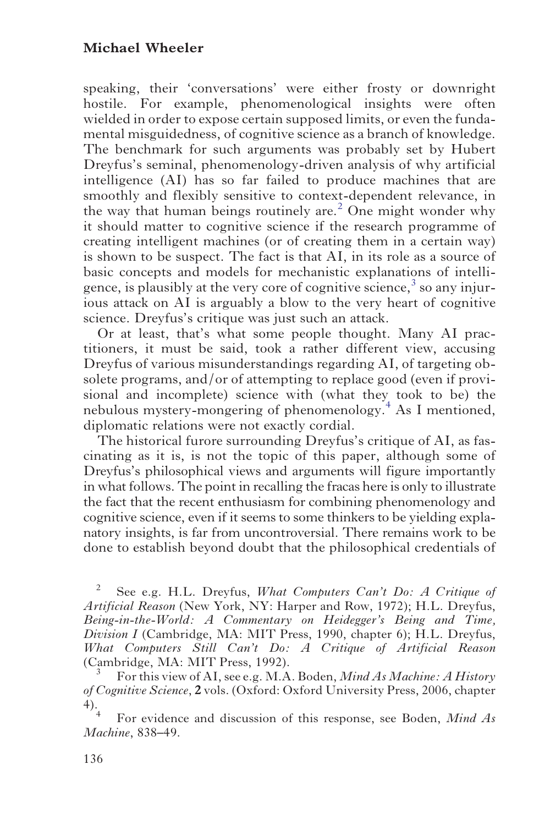speaking, their 'conversations' were either frosty or downright hostile. For example, phenomenological insights were often wielded in order to expose certain supposed limits, or even the fundamental misguidedness, of cognitive science as a branch of knowledge. The benchmark for such arguments was probably set by Hubert Dreyfus's seminal, phenomenology-driven analysis of why artificial intelligence (AI) has so far failed to produce machines that are smoothly and flexibly sensitive to context-dependent relevance, in the way that human beings routinely are.<sup>2</sup> One might wonder why it should matter to cognitive science if the research programme of creating intelligent machines (or of creating them in a certain way) is shown to be suspect. The fact is that AI, in its role as a source of basic concepts and models for mechanistic explanations of intelligence, is plausibly at the very core of cognitive science,  $\frac{3}{3}$  so any injurious attack on AI is arguably a blow to the very heart of cognitive science. Dreyfus's critique was just such an attack.

Or at least, that's what some people thought. Many AI practitioners, it must be said, took a rather different view, accusing Dreyfus of various misunderstandings regarding AI, of targeting obsolete programs, and/or of attempting to replace good (even if provisional and incomplete) science with (what they took to be) the nebulous mystery-mongering of phenomenology.4 As I mentioned, diplomatic relations were not exactly cordial.

The historical furore surrounding Dreyfus's critique of AI, as fascinating as it is, is not the topic of this paper, although some of Dreyfus's philosophical views and arguments will figure importantly in what follows. The point in recalling the fracas here is only to illustrate the fact that the recent enthusiasm for combining phenomenology and cognitive science, even if it seems to some thinkers to be yielding explanatory insights, is far from uncontroversial. There remains work to be done to establish beyond doubt that the philosophical credentials of

See e.g. H.L. Dreyfus, What Computers Can't Do: A Critique of Artificial Reason (New York, NY: Harper and Row, 1972); H.L. Dreyfus, Being-in-the-World: A Commentary on Heidegger's Being and Time, Division I (Cambridge, MA: MIT Press, 1990, chapter 6); H.L. Dreyfus, What Computers Still Can't Do: A Critique of Artificial Reason (Cambridge, MA: MIT Press, 1992).

<sup>3</sup> For this view of AI, see e.g. M.A. Boden, Mind As Machine: A History of Cognitive Science, 2 vols. (Oxford: Oxford University Press, 2006, chapter 4).<br><sup>4</sup> For evidence and discussion of this response, see Boden, *Mind As* 

Machine, 838–49.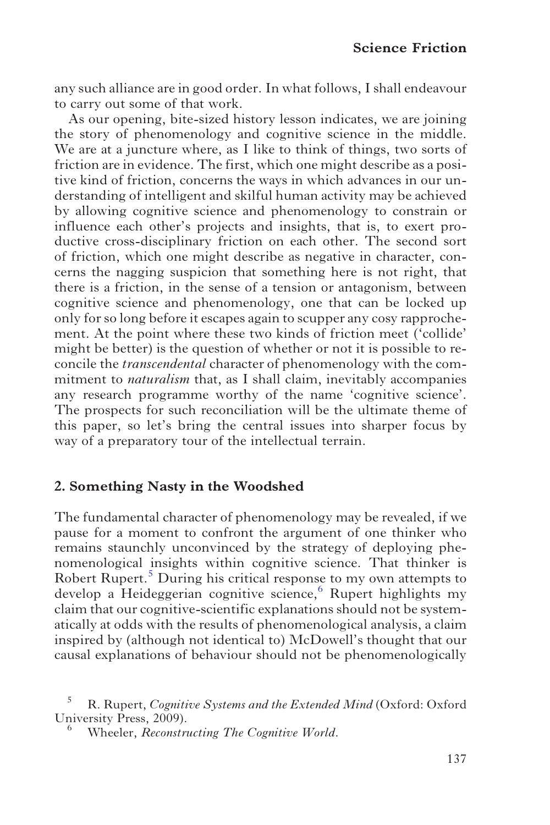any such alliance are in good order. In what follows, I shall endeavour to carry out some of that work.

As our opening, bite-sized history lesson indicates, we are joining the story of phenomenology and cognitive science in the middle. We are at a juncture where, as I like to think of things, two sorts of friction are in evidence. The first, which one might describe as a positive kind of friction, concerns the ways in which advances in our understanding of intelligent and skilful human activity may be achieved by allowing cognitive science and phenomenology to constrain or influence each other's projects and insights, that is, to exert productive cross-disciplinary friction on each other. The second sort of friction, which one might describe as negative in character, concerns the nagging suspicion that something here is not right, that there is a friction, in the sense of a tension or antagonism, between cognitive science and phenomenology, one that can be locked up only for so long before it escapes again to scupper any cosy rapprochement. At the point where these two kinds of friction meet ('collide' might be better) is the question of whether or not it is possible to reconcile the transcendental character of phenomenology with the commitment to *naturalism* that, as I shall claim, inevitably accompanies any research programme worthy of the name 'cognitive science'. The prospects for such reconciliation will be the ultimate theme of this paper, so let's bring the central issues into sharper focus by way of a preparatory tour of the intellectual terrain.

#### 2. Something Nasty in the Woodshed

The fundamental character of phenomenology may be revealed, if we pause for a moment to confront the argument of one thinker who remains staunchly unconvinced by the strategy of deploying phenomenological insights within cognitive science. That thinker is Robert Rupert.<sup>5</sup> During his critical response to my own attempts to develop a Heideggerian cognitive science,<sup>6</sup> Rupert highlights my claim that our cognitive-scientific explanations should not be systematically at odds with the results of phenomenological analysis, a claim inspired by (although not identical to) McDowell's thought that our causal explanations of behaviour should not be phenomenologically

<sup>5</sup> R. Rupert, Cognitive Systems and the Extended Mind (Oxford: Oxford University Press, 2009).

Wheeler, Reconstructing The Cognitive World.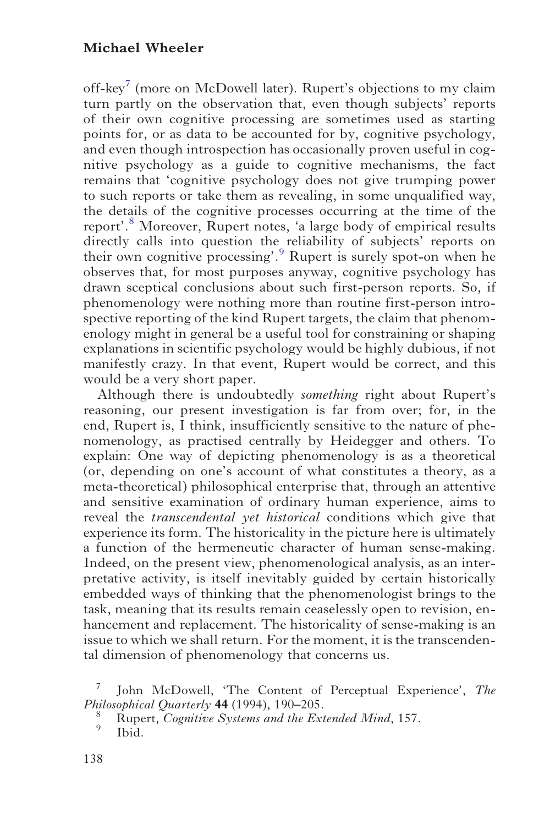off-key<sup>7</sup> (more on McDowell later). Rupert's objections to my claim turn partly on the observation that, even though subjects' reports of their own cognitive processing are sometimes used as starting points for, or as data to be accounted for by, cognitive psychology, and even though introspection has occasionally proven useful in cognitive psychology as a guide to cognitive mechanisms, the fact remains that 'cognitive psychology does not give trumping power to such reports or take them as revealing, in some unqualified way, the details of the cognitive processes occurring at the time of the report'.<sup>8</sup> Moreover, Rupert notes, 'a large body of empirical results directly calls into question the reliability of subjects' reports on their own cognitive processing'. <sup>9</sup> Rupert is surely spot-on when he observes that, for most purposes anyway, cognitive psychology has drawn sceptical conclusions about such first-person reports. So, if phenomenology were nothing more than routine first-person introspective reporting of the kind Rupert targets, the claim that phenomenology might in general be a useful tool for constraining or shaping explanations in scientific psychology would be highly dubious, if not manifestly crazy. In that event, Rupert would be correct, and this would be a very short paper.

Although there is undoubtedly something right about Rupert's reasoning, our present investigation is far from over; for, in the end, Rupert is, I think, insufficiently sensitive to the nature of phenomenology, as practised centrally by Heidegger and others. To explain: One way of depicting phenomenology is as a theoretical (or, depending on one's account of what constitutes a theory, as a meta-theoretical) philosophical enterprise that, through an attentive and sensitive examination of ordinary human experience, aims to reveal the transcendental yet historical conditions which give that experience its form. The historicality in the picture here is ultimately a function of the hermeneutic character of human sense-making. Indeed, on the present view, phenomenological analysis, as an interpretative activity, is itself inevitably guided by certain historically embedded ways of thinking that the phenomenologist brings to the task, meaning that its results remain ceaselessly open to revision, enhancement and replacement. The historicality of sense-making is an issue to which we shall return. For the moment, it is the transcendental dimension of phenomenology that concerns us.

John McDowell, 'The Content of Perceptual Experience', The Philosophical Quarterly 44 (1994), 190–205.

<sup>8</sup> Rupert, *Cognitive Systems and the Extended Mind*, 157.

Ibid.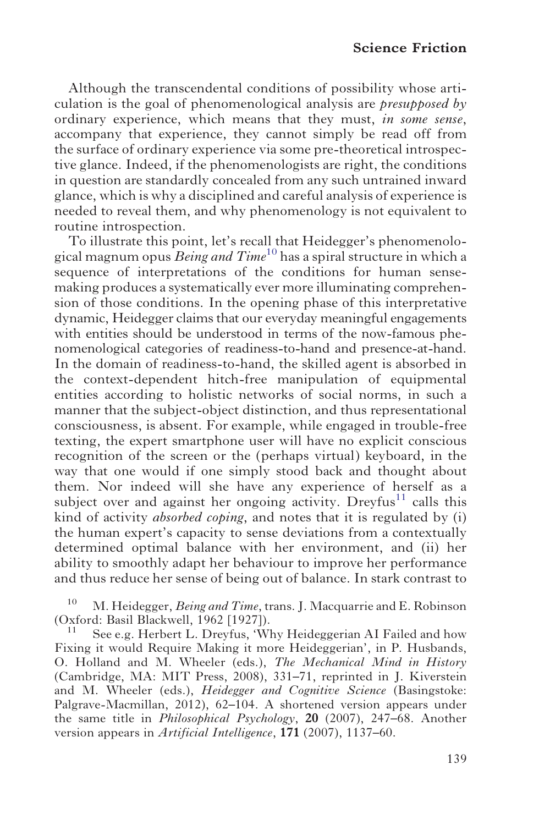Although the transcendental conditions of possibility whose articulation is the goal of phenomenological analysis are presupposed by ordinary experience, which means that they must, in some sense, accompany that experience, they cannot simply be read off from the surface of ordinary experience via some pre-theoretical introspective glance. Indeed, if the phenomenologists are right, the conditions in question are standardly concealed from any such untrained inward glance, which is why a disciplined and careful analysis of experience is needed to reveal them, and why phenomenology is not equivalent to routine introspection.

To illustrate this point, let's recall that Heidegger's phenomenological magnum opus Being and  $Time<sup>10</sup>$  has a spiral structure in which a sequence of interpretations of the conditions for human sensemaking produces a systematically ever more illuminating comprehension of those conditions. In the opening phase of this interpretative dynamic, Heidegger claims that our everyday meaningful engagements with entities should be understood in terms of the now-famous phenomenological categories of readiness-to-hand and presence-at-hand. In the domain of readiness-to-hand, the skilled agent is absorbed in the context-dependent hitch-free manipulation of equipmental entities according to holistic networks of social norms, in such a manner that the subject-object distinction, and thus representational consciousness, is absent. For example, while engaged in trouble-free texting, the expert smartphone user will have no explicit conscious recognition of the screen or the (perhaps virtual) keyboard, in the way that one would if one simply stood back and thought about them. Nor indeed will she have any experience of herself as a subject over and against her ongoing activity. Dreyfus<sup>11</sup> calls this kind of activity absorbed coping, and notes that it is regulated by (i) the human expert's capacity to sense deviations from a contextually determined optimal balance with her environment, and (ii) her ability to smoothly adapt her behaviour to improve her performance and thus reduce her sense of being out of balance. In stark contrast to

M. Heidegger, Being and Time, trans. J. Macquarrie and E. Robinson (Oxford: Basil Blackwell, 1962 [1927]).<br><sup>11</sup> See e.g. Herbert L. Dreyfus, 'Why Heideggerian AI Failed and how

Fixing it would Require Making it more Heideggerian', in P. Husbands, O. Holland and M. Wheeler (eds.), The Mechanical Mind in History (Cambridge, MA: MIT Press, 2008), 331–71, reprinted in J. Kiverstein and M. Wheeler (eds.), Heidegger and Cognitive Science (Basingstoke: Palgrave-Macmillan, 2012), 62–104. A shortened version appears under the same title in Philosophical Psychology, 20 (2007), 247–68. Another version appears in *Artificial Intelligence*, **171** (2007), 1137–60.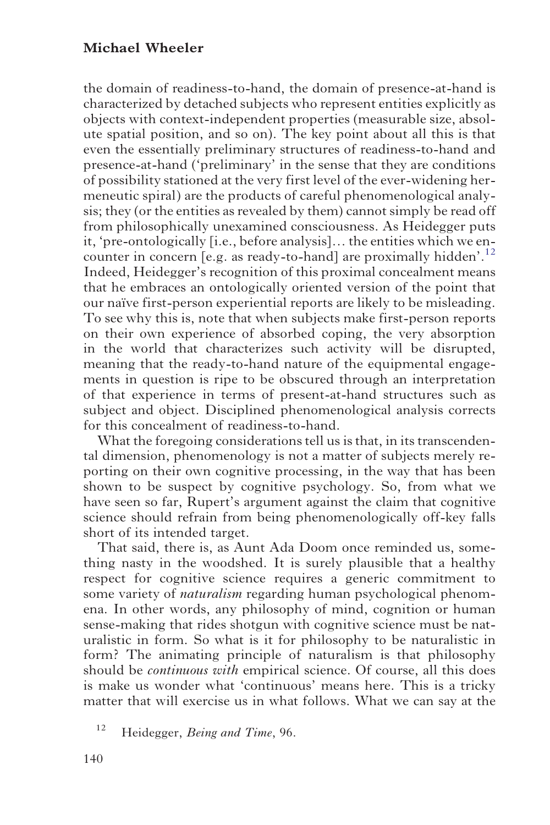the domain of readiness-to-hand, the domain of presence-at-hand is characterized by detached subjects who represent entities explicitly as objects with context-independent properties (measurable size, absolute spatial position, and so on). The key point about all this is that even the essentially preliminary structures of readiness-to-hand and presence-at-hand ('preliminary' in the sense that they are conditions of possibility stationed at the very first level of the ever-widening hermeneutic spiral) are the products of careful phenomenological analysis; they (or the entities as revealed by them) cannot simply be read off from philosophically unexamined consciousness. As Heidegger puts it, 'pre-ontologically [i.e., before analysis]… the entities which we encounter in concern [e.g. as ready-to-hand] are proximally hidden'.<sup>12</sup> Indeed, Heidegger's recognition of this proximal concealment means that he embraces an ontologically oriented version of the point that our naïve first-person experiential reports are likely to be misleading. To see why this is, note that when subjects make first-person reports on their own experience of absorbed coping, the very absorption in the world that characterizes such activity will be disrupted, meaning that the ready-to-hand nature of the equipmental engagements in question is ripe to be obscured through an interpretation of that experience in terms of present-at-hand structures such as subject and object. Disciplined phenomenological analysis corrects for this concealment of readiness-to-hand.

What the foregoing considerations tell us is that, in its transcendental dimension, phenomenology is not a matter of subjects merely reporting on their own cognitive processing, in the way that has been shown to be suspect by cognitive psychology. So, from what we have seen so far, Rupert's argument against the claim that cognitive science should refrain from being phenomenologically off-key falls short of its intended target.

That said, there is, as Aunt Ada Doom once reminded us, something nasty in the woodshed. It is surely plausible that a healthy respect for cognitive science requires a generic commitment to some variety of *naturalism* regarding human psychological phenomena. In other words, any philosophy of mind, cognition or human sense-making that rides shotgun with cognitive science must be naturalistic in form. So what is it for philosophy to be naturalistic in form? The animating principle of naturalism is that philosophy should be continuous with empirical science. Of course, all this does is make us wonder what 'continuous' means here. This is a tricky matter that will exercise us in what follows. What we can say at the

 $12$  Heidegger, Being and Time, 96.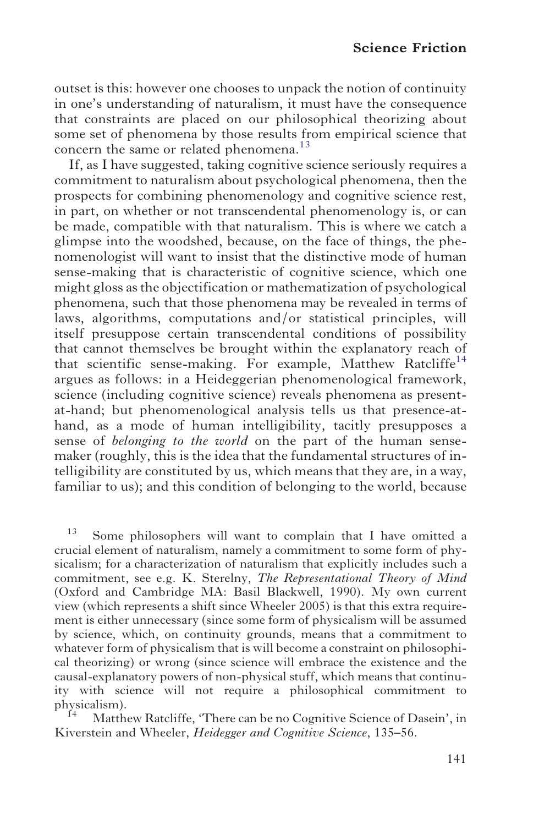outset is this: however one chooses to unpack the notion of continuity in one's understanding of naturalism, it must have the consequence that constraints are placed on our philosophical theorizing about some set of phenomena by those results from empirical science that concern the same or related phenomena.<sup>13</sup>

If, as I have suggested, taking cognitive science seriously requires a commitment to naturalism about psychological phenomena, then the prospects for combining phenomenology and cognitive science rest, in part, on whether or not transcendental phenomenology is, or can be made, compatible with that naturalism. This is where we catch a glimpse into the woodshed, because, on the face of things, the phenomenologist will want to insist that the distinctive mode of human sense-making that is characteristic of cognitive science, which one might gloss as the objectification or mathematization of psychological phenomena, such that those phenomena may be revealed in terms of laws, algorithms, computations and/or statistical principles, will itself presuppose certain transcendental conditions of possibility that cannot themselves be brought within the explanatory reach of that scientific sense-making. For example, Matthew Ratcliffe<sup>14</sup> argues as follows: in a Heideggerian phenomenological framework, science (including cognitive science) reveals phenomena as presentat-hand; but phenomenological analysis tells us that presence-athand, as a mode of human intelligibility, tacitly presupposes a sense of *belonging to the world* on the part of the human sensemaker (roughly, this is the idea that the fundamental structures of intelligibility are constituted by us, which means that they are, in a way, familiar to us); and this condition of belonging to the world, because

<sup>13</sup> Some philosophers will want to complain that I have omitted a crucial element of naturalism, namely a commitment to some form of physicalism; for a characterization of naturalism that explicitly includes such a commitment, see e.g. K. Sterelny, The Representational Theory of Mind (Oxford and Cambridge MA: Basil Blackwell, 1990). My own current view (which represents a shift since Wheeler 2005) is that this extra requirement is either unnecessary (since some form of physicalism will be assumed by science, which, on continuity grounds, means that a commitment to whatever form of physicalism that is will become a constraint on philosophical theorizing) or wrong (since science will embrace the existence and the causal-explanatory powers of non-physical stuff, which means that continuity with science will not require a philosophical commitment to physicalism). <sup>14</sup> Matthew Ratcliffe, 'There can be no Cognitive Science of Dasein', in

Kiverstein and Wheeler, Heidegger and Cognitive Science, 135-56.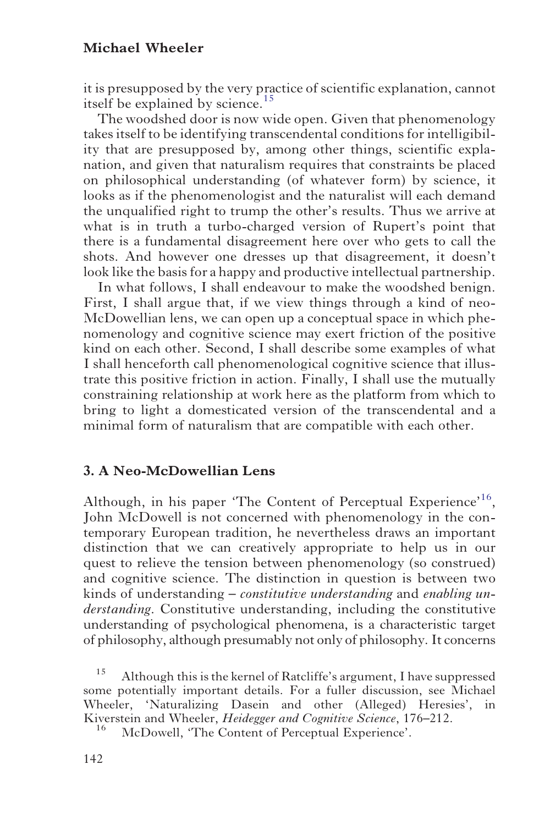it is presupposed by the very practice of scientific explanation, cannot itself be explained by science.<sup>15</sup>

The woodshed door is now wide open. Given that phenomenology takes itself to be identifying transcendental conditions for intelligibility that are presupposed by, among other things, scientific explanation, and given that naturalism requires that constraints be placed on philosophical understanding (of whatever form) by science, it looks as if the phenomenologist and the naturalist will each demand the unqualified right to trump the other's results. Thus we arrive at what is in truth a turbo-charged version of Rupert's point that there is a fundamental disagreement here over who gets to call the shots. And however one dresses up that disagreement, it doesn't look like the basis for a happy and productive intellectual partnership.

In what follows, I shall endeavour to make the woodshed benign. First, I shall argue that, if we view things through a kind of neo-McDowellian lens, we can open up a conceptual space in which phenomenology and cognitive science may exert friction of the positive kind on each other. Second, I shall describe some examples of what I shall henceforth call phenomenological cognitive science that illustrate this positive friction in action. Finally, I shall use the mutually constraining relationship at work here as the platform from which to bring to light a domesticated version of the transcendental and a minimal form of naturalism that are compatible with each other.

#### 3. A Neo-McDowellian Lens

Although, in his paper 'The Content of Perceptual Experience'<sup>16</sup>, John McDowell is not concerned with phenomenology in the contemporary European tradition, he nevertheless draws an important distinction that we can creatively appropriate to help us in our quest to relieve the tension between phenomenology (so construed) and cognitive science. The distinction in question is between two kinds of understanding – constitutive understanding and enabling understanding. Constitutive understanding, including the constitutive understanding of psychological phenomena, is a characteristic target of philosophy, although presumably not only of philosophy. It concerns

<sup>15</sup> Although this is the kernel of Ratcliffe's argument, I have suppressed some potentially important details. For a fuller discussion, see Michael Wheeler, 'Naturalizing Dasein and other (Alleged) Heresies', Kiverstein and Wheeler, *Heidegger and Cognitive Science*, 176–212.

McDowell, 'The Content of Perceptual Experience'.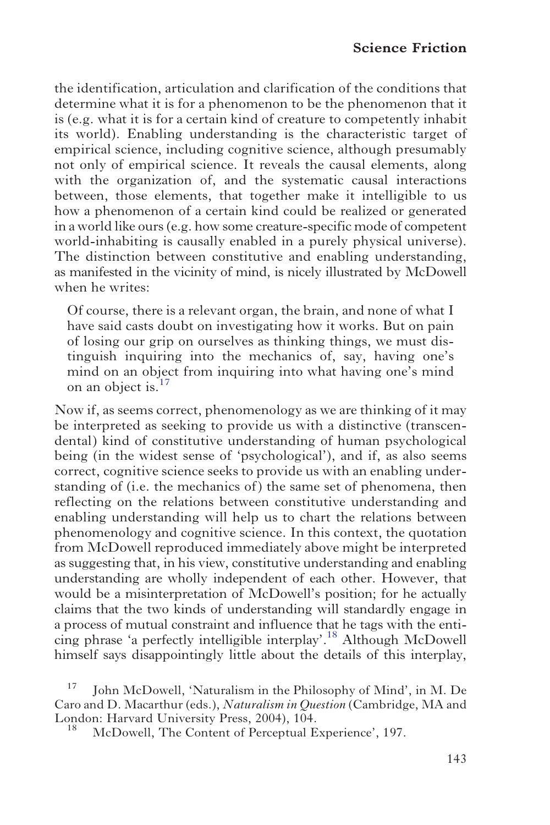the identification, articulation and clarification of the conditions that determine what it is for a phenomenon to be the phenomenon that it is (e.g. what it is for a certain kind of creature to competently inhabit its world). Enabling understanding is the characteristic target of empirical science, including cognitive science, although presumably not only of empirical science. It reveals the causal elements, along with the organization of, and the systematic causal interactions between, those elements, that together make it intelligible to us how a phenomenon of a certain kind could be realized or generated in a world like ours (e.g. how some creature-specific mode of competent world-inhabiting is causally enabled in a purely physical universe). The distinction between constitutive and enabling understanding, as manifested in the vicinity of mind, is nicely illustrated by McDowell when he writes:

Of course, there is a relevant organ, the brain, and none of what I have said casts doubt on investigating how it works. But on pain of losing our grip on ourselves as thinking things, we must distinguish inquiring into the mechanics of, say, having one's mind on an object from inquiring into what having one's mind on an object is. $17$ 

Now if, as seems correct, phenomenology as we are thinking of it may be interpreted as seeking to provide us with a distinctive (transcendental) kind of constitutive understanding of human psychological being (in the widest sense of 'psychological'), and if, as also seems correct, cognitive science seeks to provide us with an enabling understanding of (i.e. the mechanics of) the same set of phenomena, then reflecting on the relations between constitutive understanding and enabling understanding will help us to chart the relations between phenomenology and cognitive science. In this context, the quotation from McDowell reproduced immediately above might be interpreted as suggesting that, in his view, constitutive understanding and enabling understanding are wholly independent of each other. However, that would be a misinterpretation of McDowell's position; for he actually claims that the two kinds of understanding will standardly engage in a process of mutual constraint and influence that he tags with the enticing phrase 'a perfectly intelligible interplay'. <sup>18</sup> Although McDowell himself says disappointingly little about the details of this interplay,

 $17$  John McDowell, 'Naturalism in the Philosophy of Mind', in M. De Caro and D. Macarthur (eds.), Naturalism in Question (Cambridge, MA and London: Harvard University Press, 2004), 104.

McDowell, The Content of Perceptual Experience', 197.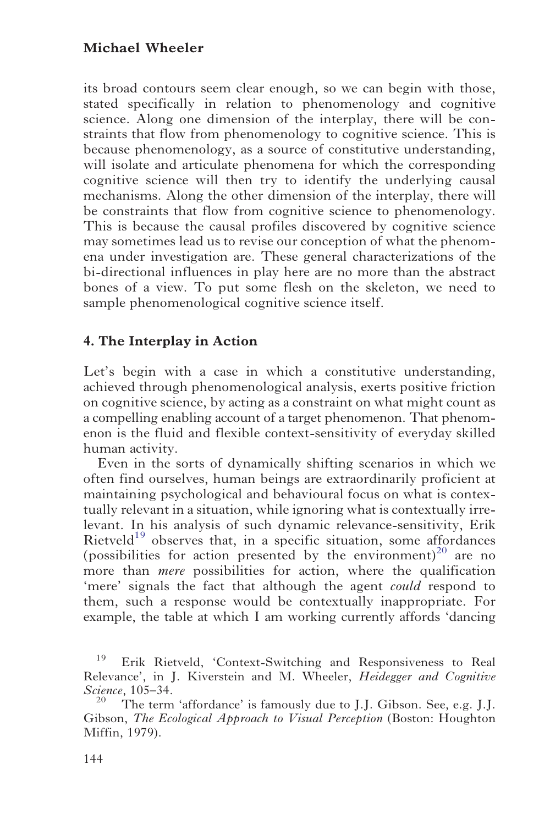its broad contours seem clear enough, so we can begin with those, stated specifically in relation to phenomenology and cognitive science. Along one dimension of the interplay, there will be constraints that flow from phenomenology to cognitive science. This is because phenomenology, as a source of constitutive understanding, will isolate and articulate phenomena for which the corresponding cognitive science will then try to identify the underlying causal mechanisms. Along the other dimension of the interplay, there will be constraints that flow from cognitive science to phenomenology. This is because the causal profiles discovered by cognitive science may sometimes lead us to revise our conception of what the phenomena under investigation are. These general characterizations of the bi-directional influences in play here are no more than the abstract bones of a view. To put some flesh on the skeleton, we need to sample phenomenological cognitive science itself.

#### 4. The Interplay in Action

Let's begin with a case in which a constitutive understanding, achieved through phenomenological analysis, exerts positive friction on cognitive science, by acting as a constraint on what might count as a compelling enabling account of a target phenomenon. That phenomenon is the fluid and flexible context-sensitivity of everyday skilled human activity.

Even in the sorts of dynamically shifting scenarios in which we often find ourselves, human beings are extraordinarily proficient at maintaining psychological and behavioural focus on what is contextually relevant in a situation, while ignoring what is contextually irrelevant. In his analysis of such dynamic relevance-sensitivity, Erik Rietveld<sup>19</sup> observes that, in a specific situation, some affordances (possibilities for action presented by the environment)<sup>20</sup> are no more than *mere* possibilities for action, where the qualification 'mere' signals the fact that although the agent could respond to them, such a response would be contextually inappropriate. For example, the table at which I am working currently affords 'dancing

<sup>19</sup> Erik Rietveld, 'Context-Switching and Responsiveness to Real Relevance', in J. Kiverstein and M. Wheeler, Heidegger and Cognitive Science, 105–34.

The term 'affordance' is famously due to J.J. Gibson. See, e.g. J.J. Gibson, The Ecological Approach to Visual Perception (Boston: Houghton Miffin, 1979).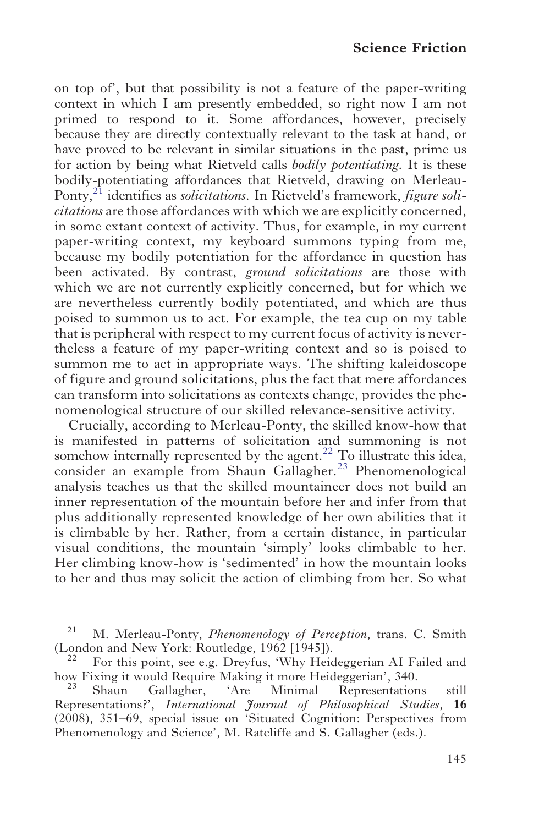on top of', but that possibility is not a feature of the paper-writing context in which I am presently embedded, so right now I am not primed to respond to it. Some affordances, however, precisely because they are directly contextually relevant to the task at hand, or have proved to be relevant in similar situations in the past, prime us for action by being what Rietveld calls bodily potentiating. It is these bodily-potentiating affordances that Rietveld, drawing on Merleau-Ponty,<sup>21</sup> identifies as *solicitations*. In Rietveld's framework, *figure soli*-<sup>1</sup> identifies as *solicitations*. In Rietveld's framework, *figure soli*citations are those affordances with which we are explicitly concerned, in some extant context of activity. Thus, for example, in my current paper-writing context, my keyboard summons typing from me, because my bodily potentiation for the affordance in question has been activated. By contrast, ground solicitations are those with which we are not currently explicitly concerned, but for which we are nevertheless currently bodily potentiated, and which are thus poised to summon us to act. For example, the tea cup on my table that is peripheral with respect to my current focus of activity is nevertheless a feature of my paper-writing context and so is poised to summon me to act in appropriate ways. The shifting kaleidoscope of figure and ground solicitations, plus the fact that mere affordances can transform into solicitations as contexts change, provides the phenomenological structure of our skilled relevance-sensitive activity.

Crucially, according to Merleau-Ponty, the skilled know-how that is manifested in patterns of solicitation and summoning is not somehow internally represented by the agent.<sup>22</sup> To illustrate this idea, consider an example from Shaun Gallagher.<sup>23</sup> Phenomenological analysis teaches us that the skilled mountaineer does not build an inner representation of the mountain before her and infer from that plus additionally represented knowledge of her own abilities that it is climbable by her. Rather, from a certain distance, in particular visual conditions, the mountain 'simply' looks climbable to her. Her climbing know-how is 'sedimented' in how the mountain looks to her and thus may solicit the action of climbing from her. So what

<sup>21</sup> M. Merleau-Ponty, *Phenomenology of Perception*, trans. C. Smith (London and New York: Routledge, 1962 [1945]).<br><sup>22</sup> For this point, see e.g. Dreyfus, 'Why Heideggerian AI Failed and

how Fixing it would Require Making it more Heideggerian', 340.

<sup>23</sup> Shaun Gallagher, 'Are Minimal Representations still Representations?', International Journal of Philosophical Studies, 16 (2008), 351–69, special issue on 'Situated Cognition: Perspectives from Phenomenology and Science', M. Ratcliffe and S. Gallagher (eds.).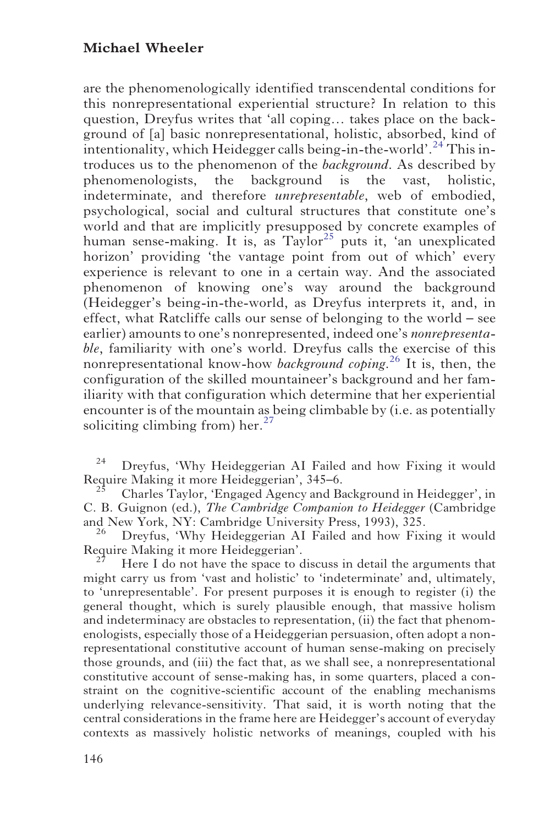are the phenomenologically identified transcendental conditions for this nonrepresentational experiential structure? In relation to this question, Dreyfus writes that 'all coping… takes place on the background of [a] basic nonrepresentational, holistic, absorbed, kind of intentionality, which Heidegger calls being-in-the-world'.<sup>24</sup> This introduces us to the phenomenon of the background. As described by phenomenologists, the background is the vast, holistic, indeterminate, and therefore unrepresentable, web of embodied, psychological, social and cultural structures that constitute one's world and that are implicitly presupposed by concrete examples of human sense-making. It is, as  $Taylor^{25}$  puts it, 'an unexplicated horizon' providing 'the vantage point from out of which' every experience is relevant to one in a certain way. And the associated phenomenon of knowing one's way around the background (Heidegger's being-in-the-world, as Dreyfus interprets it, and, in effect, what Ratcliffe calls our sense of belonging to the world – see earlier) amounts to one's nonrepresented, indeed one's nonrepresentable, familiarity with one's world. Dreyfus calls the exercise of this nonrepresentational know-how background coping.<sup>26</sup> It is, then, the configuration of the skilled mountaineer's background and her familiarity with that configuration which determine that her experiential encounter is of the mountain as being climbable by (i.e. as potentially soliciting climbing from) her. $27$ 

Dreyfus, 'Why Heideggerian AI Failed and how Fixing it would Require Making it more Heideggerian', 345–6.

<sup>25</sup> Charles Taylor, 'Engaged Agency and Background in Heidegger', in C. B. Guignon (ed.), The Cambridge Companion to Heidegger (Cambridge and New York, NY: Cambridge University Press, 1993), 325.<br><sup>26</sup> Dearfus, 'Why Heidegastian AJ Feiled and how Fivi-

Dreyfus, 'Why Heideggerian AI Failed and how Fixing it would Require Making it more Heideggerian'.<br><sup>27</sup> Here I do not have the space to discuss in detail the arguments that

might carry us from 'vast and holistic' to 'indeterminate' and, ultimately, to 'unrepresentable'. For present purposes it is enough to register (i) the general thought, which is surely plausible enough, that massive holism and indeterminacy are obstacles to representation, (ii) the fact that phenomenologists, especially those of a Heideggerian persuasion, often adopt a nonrepresentational constitutive account of human sense-making on precisely those grounds, and (iii) the fact that, as we shall see, a nonrepresentational constitutive account of sense-making has, in some quarters, placed a constraint on the cognitive-scientific account of the enabling mechanisms underlying relevance-sensitivity. That said, it is worth noting that the central considerations in the frame here are Heidegger's account of everyday contexts as massively holistic networks of meanings, coupled with his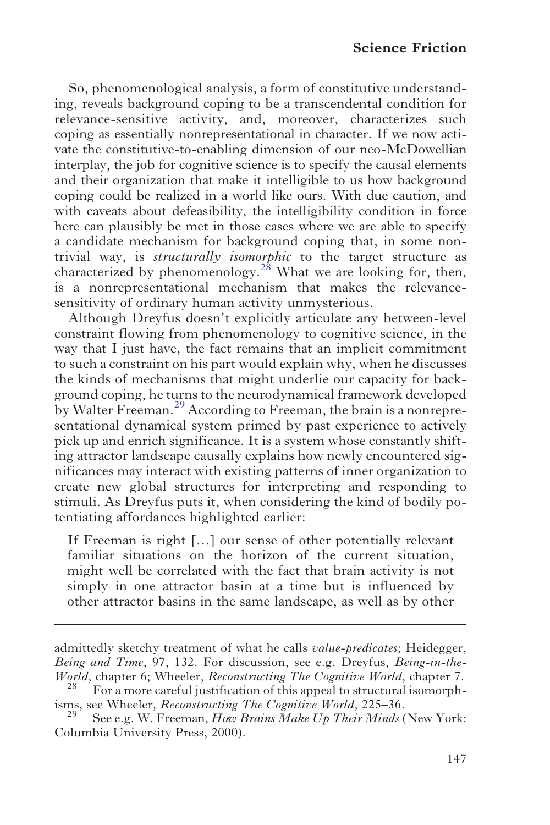So, phenomenological analysis, a form of constitutive understanding, reveals background coping to be a transcendental condition for relevance-sensitive activity, and, moreover, characterizes such coping as essentially nonrepresentational in character. If we now activate the constitutive-to-enabling dimension of our neo-McDowellian interplay, the job for cognitive science is to specify the causal elements and their organization that make it intelligible to us how background coping could be realized in a world like ours. With due caution, and with caveats about defeasibility, the intelligibility condition in force here can plausibly be met in those cases where we are able to specify a candidate mechanism for background coping that, in some nontrivial way, is structurally isomorphic to the target structure as characterized by phenomenology.<sup>28</sup> What we are looking for, then, is a nonrepresentational mechanism that makes the relevancesensitivity of ordinary human activity unmysterious.

Although Dreyfus doesn't explicitly articulate any between-level constraint flowing from phenomenology to cognitive science, in the way that I just have, the fact remains that an implicit commitment to such a constraint on his part would explain why, when he discusses the kinds of mechanisms that might underlie our capacity for background coping, he turns to the neurodynamical framework developed by Walter Freeman.<sup>29</sup> According to Freeman, the brain is a nonrepresentational dynamical system primed by past experience to actively pick up and enrich significance. It is a system whose constantly shifting attractor landscape causally explains how newly encountered significances may interact with existing patterns of inner organization to create new global structures for interpreting and responding to stimuli. As Dreyfus puts it, when considering the kind of bodily potentiating affordances highlighted earlier:

If Freeman is right […] our sense of other potentially relevant familiar situations on the horizon of the current situation, might well be correlated with the fact that brain activity is not simply in one attractor basin at a time but is influenced by other attractor basins in the same landscape, as well as by other

admittedly sketchy treatment of what he calls value-predicates; Heidegger, Being and Time, 97, 132. For discussion, see e.g. Dreyfus, Being-in-the-World, chapter 6; Wheeler, Reconstructing The Cognitive World, chapter 7.

For a more careful justification of this appeal to structural isomorphisms, see Wheeler, Reconstructing The Cognitive World, 225–36.

See e.g. W. Freeman, How Brains Make Up Their Minds (New York: Columbia University Press, 2000).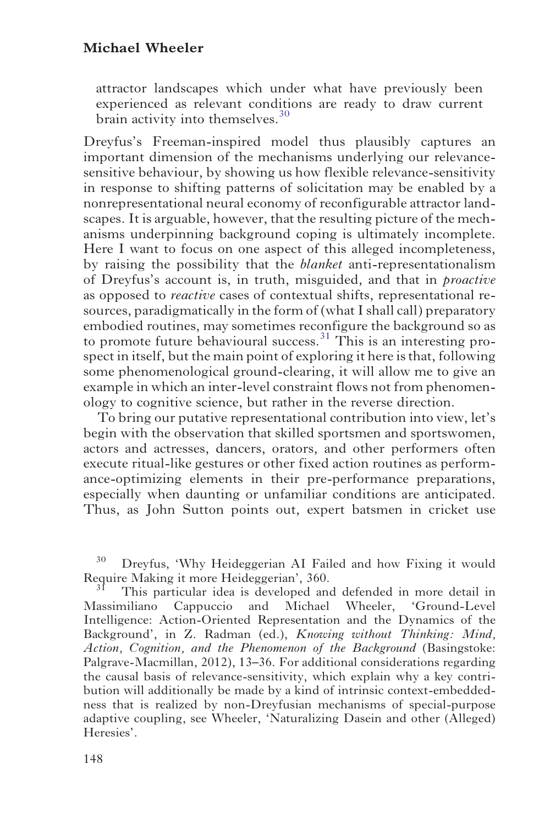attractor landscapes which under what have previously been experienced as relevant conditions are ready to draw current brain activity into themselves.<sup>30</sup>

Dreyfus's Freeman-inspired model thus plausibly captures an important dimension of the mechanisms underlying our relevancesensitive behaviour, by showing us how flexible relevance-sensitivity in response to shifting patterns of solicitation may be enabled by a nonrepresentational neural economy of reconfigurable attractor landscapes. It is arguable, however, that the resulting picture of the mechanisms underpinning background coping is ultimately incomplete. Here I want to focus on one aspect of this alleged incompleteness, by raising the possibility that the blanket anti-representationalism of Dreyfus's account is, in truth, misguided, and that in proactive as opposed to reactive cases of contextual shifts, representational resources, paradigmatically in the form of (what I shall call) preparatory embodied routines, may sometimes reconfigure the background so as to promote future behavioural success.<sup>31</sup> This is an interesting prospect in itself, but the main point of exploring it here is that, following some phenomenological ground-clearing, it will allow me to give an example in which an inter-level constraint flows not from phenomenology to cognitive science, but rather in the reverse direction.

To bring our putative representational contribution into view, let's begin with the observation that skilled sportsmen and sportswomen, actors and actresses, dancers, orators, and other performers often execute ritual-like gestures or other fixed action routines as performance-optimizing elements in their pre-performance preparations, especially when daunting or unfamiliar conditions are anticipated. Thus, as John Sutton points out, expert batsmen in cricket use

Dreyfus, 'Why Heideggerian AI Failed and how Fixing it would Require Making it more Heideggerian', 360.

This particular idea is developed and defended in more detail in Massimiliano Cappuccio and Michael Wheeler, 'Ground-Level Intelligence: Action-Oriented Representation and the Dynamics of the Background', in Z. Radman (ed.), Knowing without Thinking: Mind, Action, Cognition, and the Phenomenon of the Background (Basingstoke: Palgrave-Macmillan, 2012), 13–36. For additional considerations regarding the causal basis of relevance-sensitivity, which explain why a key contribution will additionally be made by a kind of intrinsic context-embeddedness that is realized by non-Dreyfusian mechanisms of special-purpose adaptive coupling, see Wheeler, 'Naturalizing Dasein and other (Alleged) Heresies'.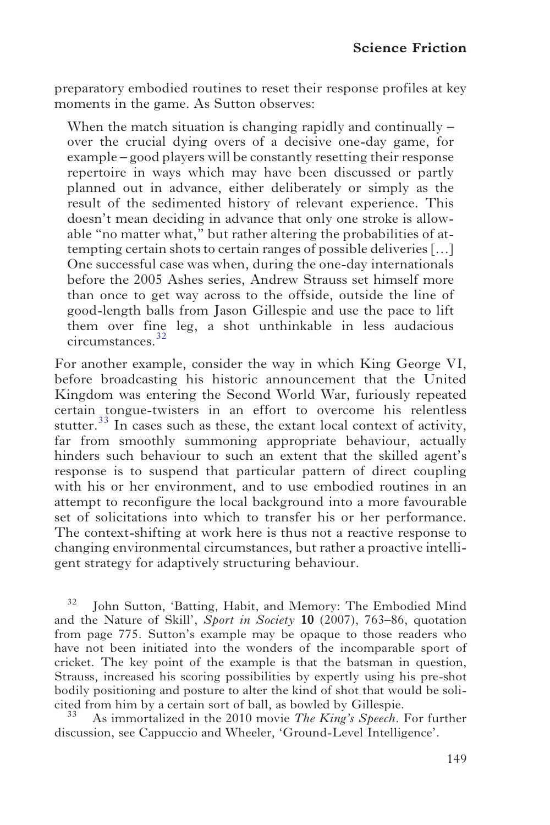preparatory embodied routines to reset their response profiles at key moments in the game. As Sutton observes:

When the match situation is changing rapidly and continually – over the crucial dying overs of a decisive one-day game, for example – good players will be constantly resetting their response repertoire in ways which may have been discussed or partly planned out in advance, either deliberately or simply as the result of the sedimented history of relevant experience. This doesn't mean deciding in advance that only one stroke is allowable "no matter what," but rather altering the probabilities of attempting certain shots to certain ranges of possible deliveries […] One successful case was when, during the one-day internationals before the 2005 Ashes series, Andrew Strauss set himself more than once to get way across to the offside, outside the line of good-length balls from Jason Gillespie and use the pace to lift them over fine leg, a shot unthinkable in less audacious circumstances.<sup>32</sup>

For another example, consider the way in which King George VI, before broadcasting his historic announcement that the United Kingdom was entering the Second World War, furiously repeated certain tongue-twisters in an effort to overcome his relentless stutter.<sup>33</sup> In cases such as these, the extant local context of activity, far from smoothly summoning appropriate behaviour, actually hinders such behaviour to such an extent that the skilled agent's response is to suspend that particular pattern of direct coupling with his or her environment, and to use embodied routines in an attempt to reconfigure the local background into a more favourable set of solicitations into which to transfer his or her performance. The context-shifting at work here is thus not a reactive response to changing environmental circumstances, but rather a proactive intelligent strategy for adaptively structuring behaviour.

<sup>32</sup> John Sutton, 'Batting, Habit, and Memory: The Embodied Mind and the Nature of Skill', Sport in Society 10 (2007), 763–86, quotation from page 775. Sutton's example may be opaque to those readers who have not been initiated into the wonders of the incomparable sport of cricket. The key point of the example is that the batsman in question, Strauss, increased his scoring possibilities by expertly using his pre-shot bodily positioning and posture to alter the kind of shot that would be solicited from him by a certain sort of ball, as bowled by Gillespie.

As immortalized in the 2010 movie The King's Speech. For further discussion, see Cappuccio and Wheeler, 'Ground-Level Intelligence'.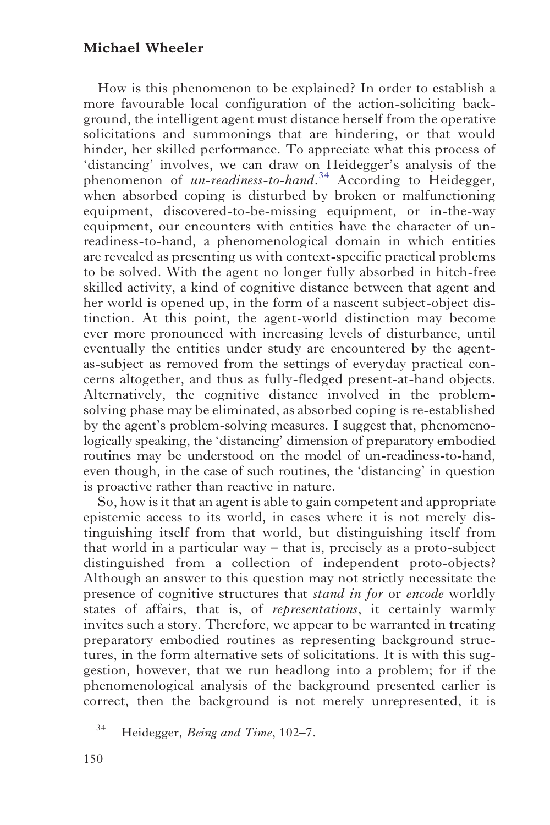How is this phenomenon to be explained? In order to establish a more favourable local configuration of the action-soliciting background, the intelligent agent must distance herself from the operative solicitations and summonings that are hindering, or that would hinder, her skilled performance. To appreciate what this process of 'distancing' involves, we can draw on Heidegger's analysis of the phenomenon of un-readiness-to-hand.<sup>34</sup> According to Heidegger, when absorbed coping is disturbed by broken or malfunctioning equipment, discovered-to-be-missing equipment, or in-the-way equipment, our encounters with entities have the character of unreadiness-to-hand, a phenomenological domain in which entities are revealed as presenting us with context-specific practical problems to be solved. With the agent no longer fully absorbed in hitch-free skilled activity, a kind of cognitive distance between that agent and her world is opened up, in the form of a nascent subject-object distinction. At this point, the agent-world distinction may become ever more pronounced with increasing levels of disturbance, until eventually the entities under study are encountered by the agentas-subject as removed from the settings of everyday practical concerns altogether, and thus as fully-fledged present-at-hand objects. Alternatively, the cognitive distance involved in the problemsolving phase may be eliminated, as absorbed coping is re-established by the agent's problem-solving measures. I suggest that, phenomenologically speaking, the 'distancing' dimension of preparatory embodied routines may be understood on the model of un-readiness-to-hand, even though, in the case of such routines, the 'distancing' in question is proactive rather than reactive in nature.

So, how is it that an agent is able to gain competent and appropriate epistemic access to its world, in cases where it is not merely distinguishing itself from that world, but distinguishing itself from that world in a particular way – that is, precisely as a proto-subject distinguished from a collection of independent proto-objects? Although an answer to this question may not strictly necessitate the presence of cognitive structures that stand in for or encode worldly states of affairs, that is, of representations, it certainly warmly invites such a story. Therefore, we appear to be warranted in treating preparatory embodied routines as representing background structures, in the form alternative sets of solicitations. It is with this suggestion, however, that we run headlong into a problem; for if the phenomenological analysis of the background presented earlier is correct, then the background is not merely unrepresented, it is

 $34$  Heidegger, *Being and Time*, 102–7.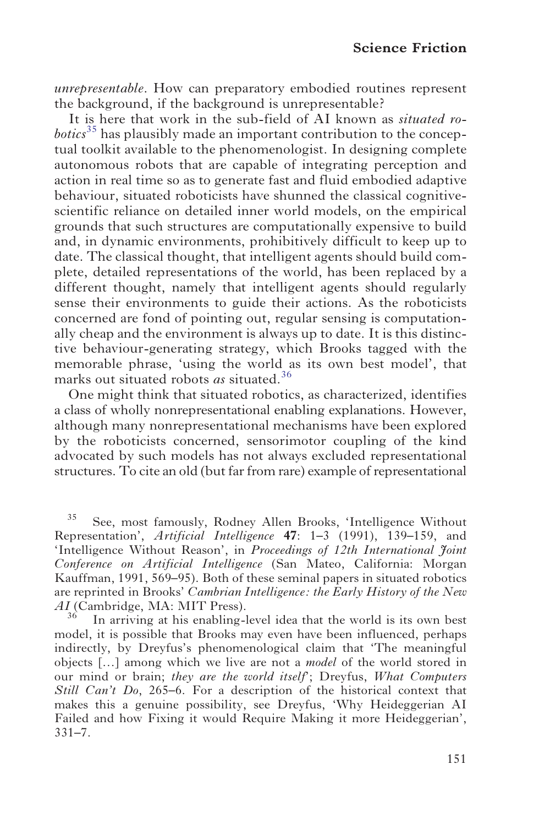unrepresentable. How can preparatory embodied routines represent the background, if the background is unrepresentable?

It is here that work in the sub-field of AI known as situated ro $botics<sup>35</sup>$  has plausibly made an important contribution to the conceptual toolkit available to the phenomenologist. In designing complete autonomous robots that are capable of integrating perception and action in real time so as to generate fast and fluid embodied adaptive behaviour, situated roboticists have shunned the classical cognitivescientific reliance on detailed inner world models, on the empirical grounds that such structures are computationally expensive to build and, in dynamic environments, prohibitively difficult to keep up to date. The classical thought, that intelligent agents should build complete, detailed representations of the world, has been replaced by a different thought, namely that intelligent agents should regularly sense their environments to guide their actions. As the roboticists concerned are fond of pointing out, regular sensing is computationally cheap and the environment is always up to date. It is this distinctive behaviour-generating strategy, which Brooks tagged with the memorable phrase, 'using the world as its own best model', that marks out situated robots as situated.<sup>36</sup>

One might think that situated robotics, as characterized, identifies a class of wholly nonrepresentational enabling explanations. However, although many nonrepresentational mechanisms have been explored by the roboticists concerned, sensorimotor coupling of the kind advocated by such models has not always excluded representational structures. To cite an old (but far from rare) example of representational

<sup>35</sup> See, most famously, Rodney Allen Brooks, 'Intelligence Without Representation', Artificial Intelligence 47: 1–3 (1991), 139–159, and 'Intelligence Without Reason', in Proceedings of 12th International Joint Conference on Artificial Intelligence (San Mateo, California: Morgan Kauffman, 1991, 569–95). Both of these seminal papers in situated robotics are reprinted in Brooks' Cambrian Intelligence: the Early History of the New AI (Cambridge, MA: MIT Press).

In arriving at his enabling-level idea that the world is its own best model, it is possible that Brooks may even have been influenced, perhaps indirectly, by Dreyfus's phenomenological claim that 'The meaningful objects […] among which we live are not a model of the world stored in our mind or brain; they are the world itself; Dreyfus, What Computers Still Can't Do, 265–6. For a description of the historical context that makes this a genuine possibility, see Dreyfus, 'Why Heideggerian AI Failed and how Fixing it would Require Making it more Heideggerian',  $331 - 7$ .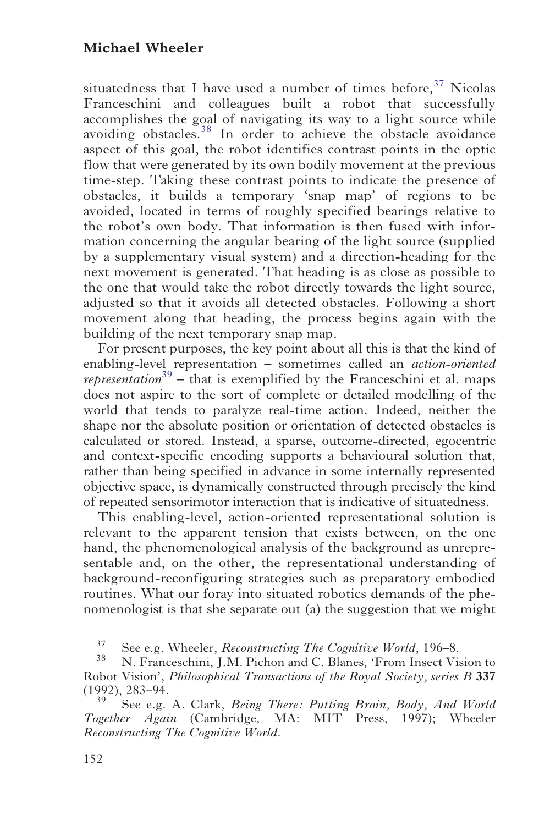situatedness that I have used a number of times before,  $37$  Nicolas Franceschini and colleagues built a robot that successfully accomplishes the goal of navigating its way to a light source while avoiding obstacles.<sup>38</sup> In order to achieve the obstacle avoidance aspect of this goal, the robot identifies contrast points in the optic flow that were generated by its own bodily movement at the previous time-step. Taking these contrast points to indicate the presence of obstacles, it builds a temporary 'snap map' of regions to be avoided, located in terms of roughly specified bearings relative to the robot's own body. That information is then fused with information concerning the angular bearing of the light source (supplied by a supplementary visual system) and a direction-heading for the next movement is generated. That heading is as close as possible to the one that would take the robot directly towards the light source, adjusted so that it avoids all detected obstacles. Following a short movement along that heading, the process begins again with the building of the next temporary snap map.

For present purposes, the key point about all this is that the kind of enabling-level representation – sometimes called an action-oriented *representation*<sup>39</sup> – that is exemplified by the Franceschini et al. maps does not aspire to the sort of complete or detailed modelling of the world that tends to paralyze real-time action. Indeed, neither the shape nor the absolute position or orientation of detected obstacles is calculated or stored. Instead, a sparse, outcome-directed, egocentric and context-specific encoding supports a behavioural solution that, rather than being specified in advance in some internally represented objective space, is dynamically constructed through precisely the kind of repeated sensorimotor interaction that is indicative of situatedness.

This enabling-level, action-oriented representational solution is relevant to the apparent tension that exists between, on the one hand, the phenomenological analysis of the background as unrepresentable and, on the other, the representational understanding of background-reconfiguring strategies such as preparatory embodied routines. What our foray into situated robotics demands of the phenomenologist is that she separate out (a) the suggestion that we might

<sup>37</sup> See e.g. Wheeler, *Reconstructing The Cognitive World*, 196–8.<br><sup>38</sup> N. Expressed in L. M. Diskop and G. Planes. 'From Jaccet Vii

<sup>38</sup> N. Franceschini, J.M. Pichon and C. Blanes, 'From Insect Vision to Robot Vision', *Philosophical Transactions of the Royal Society, series B* 337 (1992), 283–94.

See e.g. A. Clark, Being There: Putting Brain, Body, And World Together Again (Cambridge, MA: MIT Press, 1997); Wheeler Reconstructing The Cognitive World.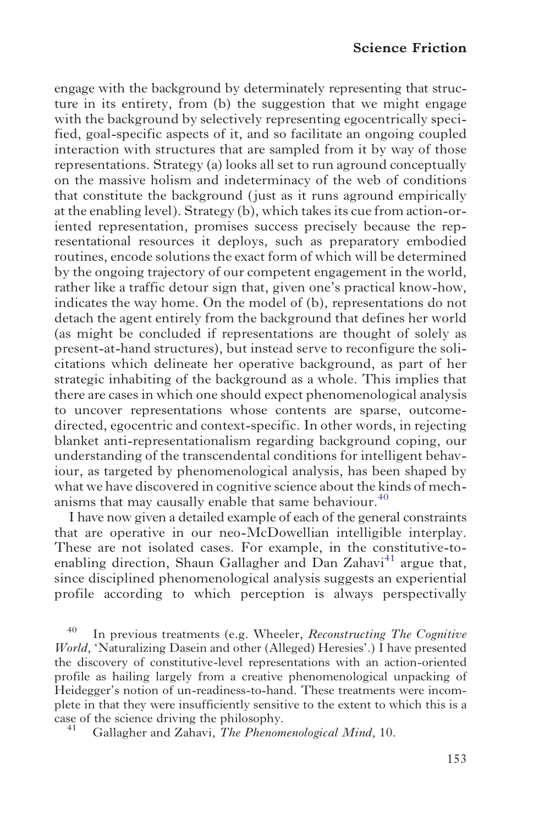engage with the background by determinately representing that structure in its entirety, from (b) the suggestion that we might engage with the background by selectively representing egocentrically specified, goal-specific aspects of it, and so facilitate an ongoing coupled interaction with structures that are sampled from it by way of those representations. Strategy (a) looks all set to run aground conceptually on the massive holism and indeterminacy of the web of conditions that constitute the background (just as it runs aground empirically at the enabling level). Strategy (b), which takes its cue from action-oriented representation, promises success precisely because the representational resources it deploys, such as preparatory embodied routines, encode solutions the exact form of which will be determined by the ongoing trajectory of our competent engagement in the world, rather like a traffic detour sign that, given one's practical know-how, indicates the way home. On the model of (b), representations do not detach the agent entirely from the background that defines her world (as might be concluded if representations are thought of solely as present-at-hand structures), but instead serve to reconfigure the solicitations which delineate her operative background, as part of her strategic inhabiting of the background as a whole. This implies that there are cases in which one should expect phenomenological analysis to uncover representations whose contents are sparse, outcomedirected, egocentric and context-specific. In other words, in rejecting blanket anti-representationalism regarding background coping, our understanding of the transcendental conditions for intelligent behaviour, as targeted by phenomenological analysis, has been shaped by what we have discovered in cognitive science about the kinds of mechanisms that may causally enable that same behaviour. $40$ 

I have now given a detailed example of each of the general constraints that are operative in our neo-McDowellian intelligible interplay. These are not isolated cases. For example, in the constitutive-toenabling direction, Shaun Gallagher and Dan Zahavi<sup>41</sup> argue that, since disciplined phenomenological analysis suggests an experiential profile according to which perception is always perspectivally

In previous treatments (e.g. Wheeler, Reconstructing The Cognitive World, 'Naturalizing Dasein and other (Alleged) Heresies'.) I have presented the discovery of constitutive-level representations with an action-oriented profile as hailing largely from a creative phenomenological unpacking of Heidegger's notion of un-readiness-to-hand. These treatments were incomplete in that they were insufficiently sensitive to the extent to which this is a case of the science driving the philosophy.<br><sup>41</sup> Gallagher and Zahavi, *The Phenomenological Mind*, 10.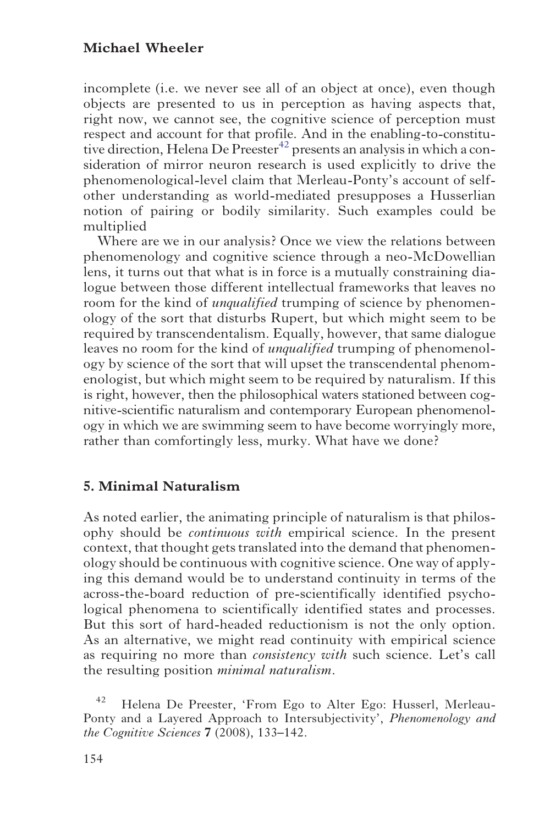incomplete (i.e. we never see all of an object at once), even though objects are presented to us in perception as having aspects that, right now, we cannot see, the cognitive science of perception must respect and account for that profile. And in the enabling-to-constitutive direction, Helena De Preester<sup>42</sup> presents an analysis in which a consideration of mirror neuron research is used explicitly to drive the phenomenological-level claim that Merleau-Ponty's account of selfother understanding as world-mediated presupposes a Husserlian notion of pairing or bodily similarity. Such examples could be multiplied

Where are we in our analysis? Once we view the relations between phenomenology and cognitive science through a neo-McDowellian lens, it turns out that what is in force is a mutually constraining dialogue between those different intellectual frameworks that leaves no room for the kind of *unqualified* trumping of science by phenomenology of the sort that disturbs Rupert, but which might seem to be required by transcendentalism. Equally, however, that same dialogue leaves no room for the kind of unqualified trumping of phenomenology by science of the sort that will upset the transcendental phenomenologist, but which might seem to be required by naturalism. If this is right, however, then the philosophical waters stationed between cognitive-scientific naturalism and contemporary European phenomenology in which we are swimming seem to have become worryingly more, rather than comfortingly less, murky. What have we done?

#### 5. Minimal Naturalism

As noted earlier, the animating principle of naturalism is that philosophy should be continuous with empirical science. In the present context, that thought gets translated into the demand that phenomenology should be continuous with cognitive science. One way of applying this demand would be to understand continuity in terms of the across-the-board reduction of pre-scientifically identified psychological phenomena to scientifically identified states and processes. But this sort of hard-headed reductionism is not the only option. As an alternative, we might read continuity with empirical science as requiring no more than consistency with such science. Let's call the resulting position minimal naturalism.

<sup>42</sup> Helena De Preester, 'From Ego to Alter Ego: Husserl, Merleau-Ponty and a Layered Approach to Intersubjectivity', Phenomenology and the Cognitive Sciences 7 (2008), 133–142.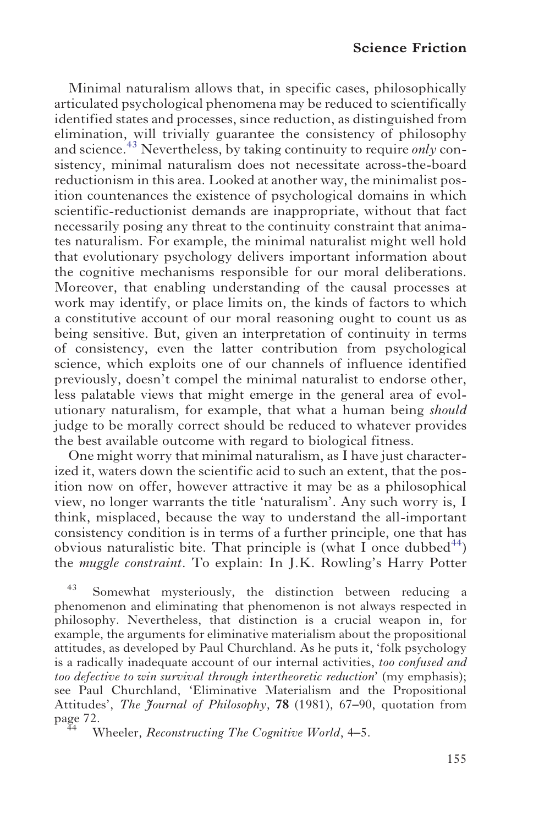Minimal naturalism allows that, in specific cases, philosophically articulated psychological phenomena may be reduced to scientifically identified states and processes, since reduction, as distinguished from elimination, will trivially guarantee the consistency of philosophy and science.<sup> $43$ </sup> Nevertheless, by taking continuity to require *only* consistency, minimal naturalism does not necessitate across-the-board reductionism in this area. Looked at another way, the minimalist position countenances the existence of psychological domains in which scientific-reductionist demands are inappropriate, without that fact necessarily posing any threat to the continuity constraint that animates naturalism. For example, the minimal naturalist might well hold that evolutionary psychology delivers important information about the cognitive mechanisms responsible for our moral deliberations. Moreover, that enabling understanding of the causal processes at work may identify, or place limits on, the kinds of factors to which a constitutive account of our moral reasoning ought to count us as being sensitive. But, given an interpretation of continuity in terms of consistency, even the latter contribution from psychological science, which exploits one of our channels of influence identified previously, doesn't compel the minimal naturalist to endorse other, less palatable views that might emerge in the general area of evolutionary naturalism, for example, that what a human being should judge to be morally correct should be reduced to whatever provides the best available outcome with regard to biological fitness.

One might worry that minimal naturalism, as I have just characterized it, waters down the scientific acid to such an extent, that the position now on offer, however attractive it may be as a philosophical view, no longer warrants the title 'naturalism'. Any such worry is, I think, misplaced, because the way to understand the all-important consistency condition is in terms of a further principle, one that has obvious naturalistic bite. That principle is (what I once dubbed<sup>44</sup>) the muggle constraint. To explain: In J.K. Rowling's Harry Potter

Somewhat mysteriously, the distinction between reducing a phenomenon and eliminating that phenomenon is not always respected in philosophy. Nevertheless, that distinction is a crucial weapon in, for example, the arguments for eliminative materialism about the propositional attitudes, as developed by Paul Churchland. As he puts it, 'folk psychology is a radically inadequate account of our internal activities, too confused and too defective to win survival through intertheoretic reduction' (my emphasis); see Paul Churchland, 'Eliminative Materialism and the Propositional Attitudes', The Journal of Philosophy, 78 (1981), 67-90, quotation from page 72.<br><sup>44</sup> Wheeler, *Reconstructing The Cognitive World*, 4–5.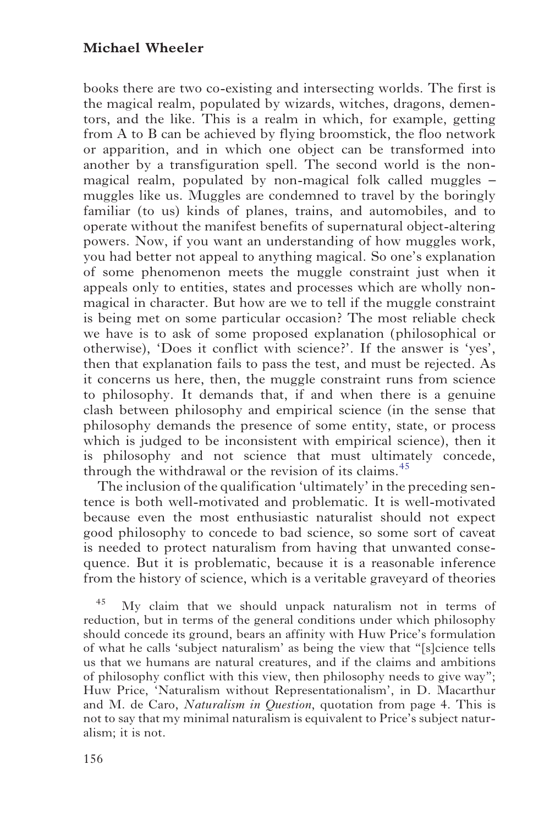books there are two co-existing and intersecting worlds. The first is the magical realm, populated by wizards, witches, dragons, dementors, and the like. This is a realm in which, for example, getting from A to B can be achieved by flying broomstick, the floo network or apparition, and in which one object can be transformed into another by a transfiguration spell. The second world is the nonmagical realm, populated by non-magical folk called muggles – muggles like us. Muggles are condemned to travel by the boringly familiar (to us) kinds of planes, trains, and automobiles, and to operate without the manifest benefits of supernatural object-altering powers. Now, if you want an understanding of how muggles work, you had better not appeal to anything magical. So one's explanation of some phenomenon meets the muggle constraint just when it appeals only to entities, states and processes which are wholly nonmagical in character. But how are we to tell if the muggle constraint is being met on some particular occasion? The most reliable check we have is to ask of some proposed explanation (philosophical or otherwise), 'Does it conflict with science?'. If the answer is 'yes', then that explanation fails to pass the test, and must be rejected. As it concerns us here, then, the muggle constraint runs from science to philosophy. It demands that, if and when there is a genuine clash between philosophy and empirical science (in the sense that philosophy demands the presence of some entity, state, or process which is judged to be inconsistent with empirical science), then it is philosophy and not science that must ultimately concede, through the withdrawal or the revision of its claims.<sup>45</sup>

The inclusion of the qualification 'ultimately' in the preceding sentence is both well-motivated and problematic. It is well-motivated because even the most enthusiastic naturalist should not expect good philosophy to concede to bad science, so some sort of caveat is needed to protect naturalism from having that unwanted consequence. But it is problematic, because it is a reasonable inference from the history of science, which is a veritable graveyard of theories

<sup>45</sup> My claim that we should unpack naturalism not in terms of reduction, but in terms of the general conditions under which philosophy should concede its ground, bears an affinity with Huw Price's formulation of what he calls 'subject naturalism' as being the view that "[s]cience tells us that we humans are natural creatures, and if the claims and ambitions of philosophy conflict with this view, then philosophy needs to give way"; Huw Price, 'Naturalism without Representationalism', in D. Macarthur and M. de Caro, Naturalism in Question, quotation from page 4. This is not to say that my minimal naturalism is equivalent to Price's subject naturalism; it is not.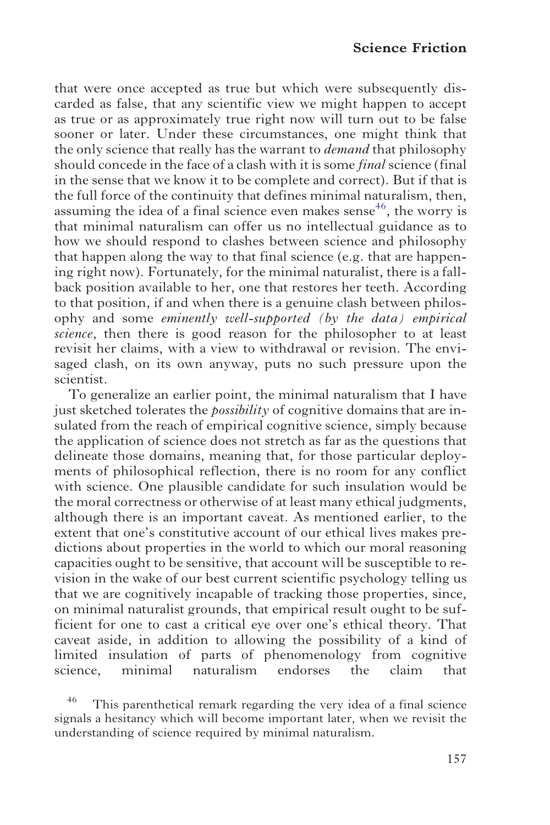that were once accepted as true but which were subsequently discarded as false, that any scientific view we might happen to accept as true or as approximately true right now will turn out to be false sooner or later. Under these circumstances, one might think that the only science that really has the warrant to *demand* that philosophy should concede in the face of a clash with it is some final science (final in the sense that we know it to be complete and correct). But if that is the full force of the continuity that defines minimal naturalism, then, assuming the idea of a final science even makes sense<sup>46</sup>, the worry is that minimal naturalism can offer us no intellectual guidance as to how we should respond to clashes between science and philosophy that happen along the way to that final science (e.g. that are happening right now). Fortunately, for the minimal naturalist, there is a fallback position available to her, one that restores her teeth. According to that position, if and when there is a genuine clash between philosophy and some eminently well-supported (by the data) empirical science, then there is good reason for the philosopher to at least revisit her claims, with a view to withdrawal or revision. The envisaged clash, on its own anyway, puts no such pressure upon the scientist.

To generalize an earlier point, the minimal naturalism that I have just sketched tolerates the *possibility* of cognitive domains that are insulated from the reach of empirical cognitive science, simply because the application of science does not stretch as far as the questions that delineate those domains, meaning that, for those particular deployments of philosophical reflection, there is no room for any conflict with science. One plausible candidate for such insulation would be the moral correctness or otherwise of at least many ethical judgments, although there is an important caveat. As mentioned earlier, to the extent that one's constitutive account of our ethical lives makes predictions about properties in the world to which our moral reasoning capacities ought to be sensitive, that account will be susceptible to revision in the wake of our best current scientific psychology telling us that we are cognitively incapable of tracking those properties, since, on minimal naturalist grounds, that empirical result ought to be sufficient for one to cast a critical eve over one's ethical theory. That caveat aside, in addition to allowing the possibility of a kind of limited insulation of parts of phenomenology from cognitive science, minimal naturalism endorses the claim that

This parenthetical remark regarding the very idea of a final science signals a hesitancy which will become important later, when we revisit the understanding of science required by minimal naturalism.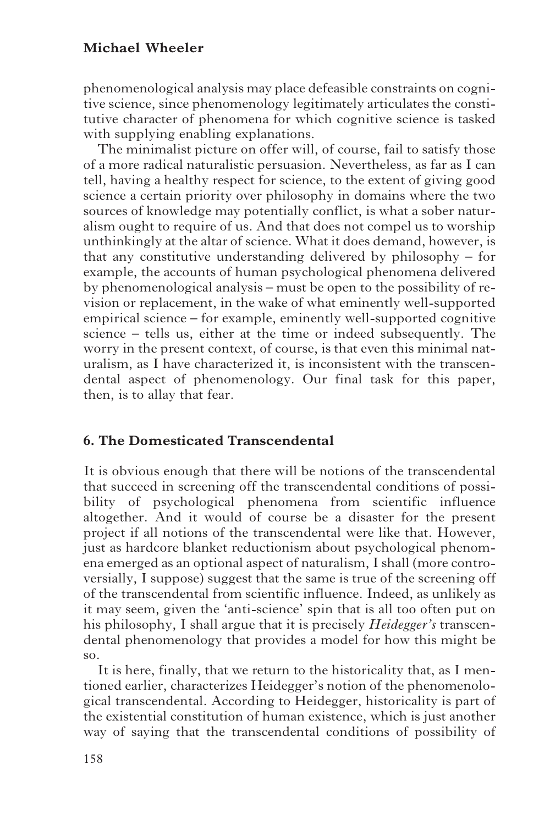phenomenological analysis may place defeasible constraints on cognitive science, since phenomenology legitimately articulates the constitutive character of phenomena for which cognitive science is tasked with supplying enabling explanations.

The minimalist picture on offer will, of course, fail to satisfy those of a more radical naturalistic persuasion. Nevertheless, as far as I can tell, having a healthy respect for science, to the extent of giving good science a certain priority over philosophy in domains where the two sources of knowledge may potentially conflict, is what a sober naturalism ought to require of us. And that does not compel us to worship unthinkingly at the altar of science. What it does demand, however, is that any constitutive understanding delivered by philosophy – for example, the accounts of human psychological phenomena delivered by phenomenological analysis – must be open to the possibility of revision or replacement, in the wake of what eminently well-supported empirical science – for example, eminently well-supported cognitive science – tells us, either at the time or indeed subsequently. The worry in the present context, of course, is that even this minimal naturalism, as I have characterized it, is inconsistent with the transcendental aspect of phenomenology. Our final task for this paper, then, is to allay that fear.

#### 6. The Domesticated Transcendental

It is obvious enough that there will be notions of the transcendental that succeed in screening off the transcendental conditions of possibility of psychological phenomena from scientific influence altogether. And it would of course be a disaster for the present project if all notions of the transcendental were like that. However, just as hardcore blanket reductionism about psychological phenomena emerged as an optional aspect of naturalism, I shall (more controversially, I suppose) suggest that the same is true of the screening off of the transcendental from scientific influence. Indeed, as unlikely as it may seem, given the 'anti-science' spin that is all too often put on his philosophy, I shall argue that it is precisely *Heidegger's* transcendental phenomenology that provides a model for how this might be so.

It is here, finally, that we return to the historicality that, as I mentioned earlier, characterizes Heidegger's notion of the phenomenological transcendental. According to Heidegger, historicality is part of the existential constitution of human existence, which is just another way of saying that the transcendental conditions of possibility of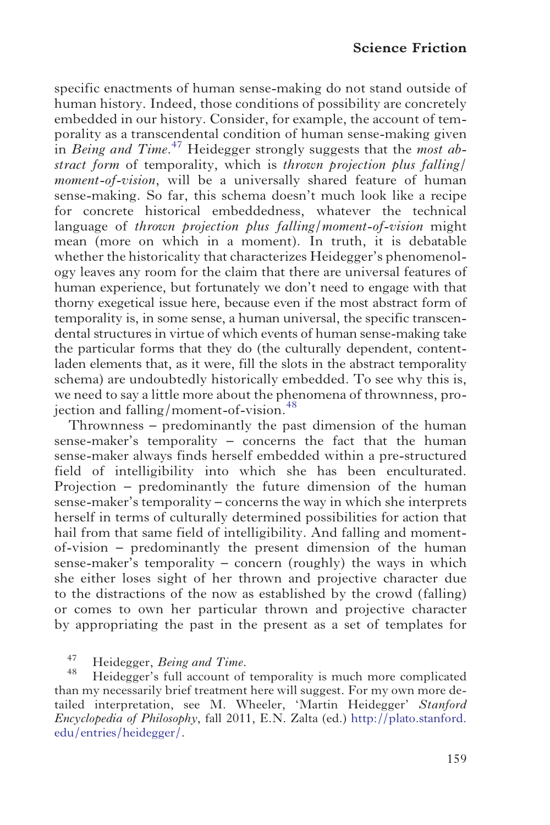specific enactments of human sense-making do not stand outside of human history. Indeed, those conditions of possibility are concretely embedded in our history. Consider, for example, the account of temporality as a transcendental condition of human sense-making given in Being and Time.<sup>47</sup> Heidegger strongly suggests that the most abstract form of temporality, which is thrown projection plus falling/ moment-of-vision, will be a universally shared feature of human sense-making. So far, this schema doesn't much look like a recipe for concrete historical embeddedness, whatever the technical language of thrown projection plus falling/moment-of-vision might mean (more on which in a moment). In truth, it is debatable whether the historicality that characterizes Heidegger's phenomenology leaves any room for the claim that there are universal features of human experience, but fortunately we don't need to engage with that thorny exegetical issue here, because even if the most abstract form of temporality is, in some sense, a human universal, the specific transcendental structures in virtue of which events of human sense-making take the particular forms that they do (the culturally dependent, contentladen elements that, as it were, fill the slots in the abstract temporality schema) are undoubtedly historically embedded. To see why this is, we need to say a little more about the phenomena of thrownness, proiection and falling/moment-of-vision.<sup>48</sup>

Thrownness – predominantly the past dimension of the human sense-maker's temporality – concerns the fact that the human sense-maker always finds herself embedded within a pre-structured field of intelligibility into which she has been enculturated. Projection – predominantly the future dimension of the human sense-maker's temporality – concerns the way in which she interprets herself in terms of culturally determined possibilities for action that hail from that same field of intelligibility. And falling and momentof-vision – predominantly the present dimension of the human sense-maker's temporality – concern (roughly) the ways in which she either loses sight of her thrown and projective character due to the distractions of the now as established by the crowd (falling) or comes to own her particular thrown and projective character by appropriating the past in the present as a set of templates for

<sup>47</sup> Heidegger, *Being and Time*.<br><sup>48</sup> Heidegger's full account of temporality is much more complicated than my necessarily brief treatment here will suggest. For my own more detailed interpretation, see M. Wheeler, 'Martin Heidegger' Stanford Encyclopedia of Philosophy, fall 2011, E.N. Zalta (ed.) [http:](http://plato.stanford.edu/entries/heidegger/)//[plato.stanford.](http://plato.stanford.edu/entries/heidegger/) edu/entries/[heidegger](http://plato.stanford.edu/entries/heidegger/)/.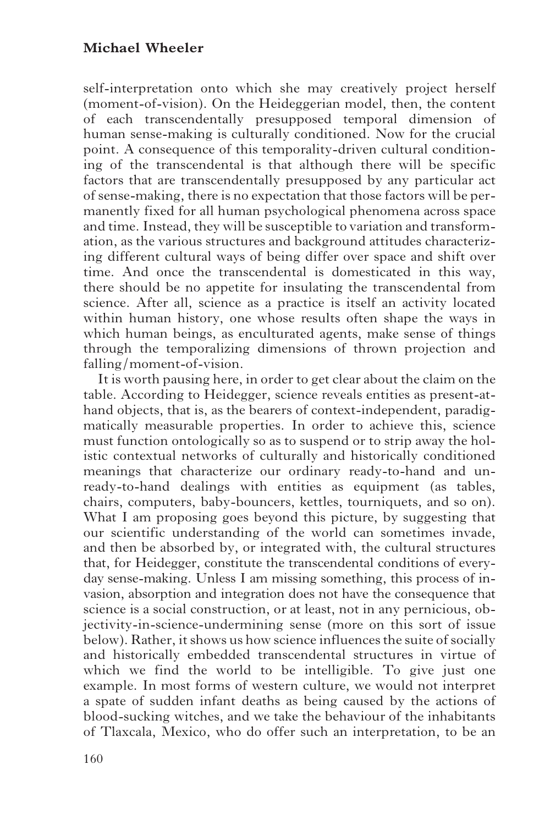self-interpretation onto which she may creatively project herself (moment-of-vision). On the Heideggerian model, then, the content of each transcendentally presupposed temporal dimension of human sense-making is culturally conditioned. Now for the crucial point. A consequence of this temporality-driven cultural conditioning of the transcendental is that although there will be specific factors that are transcendentally presupposed by any particular act of sense-making, there is no expectation that those factors will be permanently fixed for all human psychological phenomena across space and time. Instead, they will be susceptible to variation and transformation, as the various structures and background attitudes characterizing different cultural ways of being differ over space and shift over time. And once the transcendental is domesticated in this way, there should be no appetite for insulating the transcendental from science. After all, science as a practice is itself an activity located within human history, one whose results often shape the ways in which human beings, as enculturated agents, make sense of things through the temporalizing dimensions of thrown projection and falling/moment-of-vision.

It is worth pausing here, in order to get clear about the claim on the table. According to Heidegger, science reveals entities as present-athand objects, that is, as the bearers of context-independent, paradigmatically measurable properties. In order to achieve this, science must function ontologically so as to suspend or to strip away the holistic contextual networks of culturally and historically conditioned meanings that characterize our ordinary ready-to-hand and unready-to-hand dealings with entities as equipment (as tables, chairs, computers, baby-bouncers, kettles, tourniquets, and so on). What I am proposing goes beyond this picture, by suggesting that our scientific understanding of the world can sometimes invade, and then be absorbed by, or integrated with, the cultural structures that, for Heidegger, constitute the transcendental conditions of everyday sense-making. Unless I am missing something, this process of invasion, absorption and integration does not have the consequence that science is a social construction, or at least, not in any pernicious, objectivity-in-science-undermining sense (more on this sort of issue below). Rather, it shows us how science influences the suite of socially and historically embedded transcendental structures in virtue of which we find the world to be intelligible. To give just one example. In most forms of western culture, we would not interpret a spate of sudden infant deaths as being caused by the actions of blood-sucking witches, and we take the behaviour of the inhabitants of Tlaxcala, Mexico, who do offer such an interpretation, to be an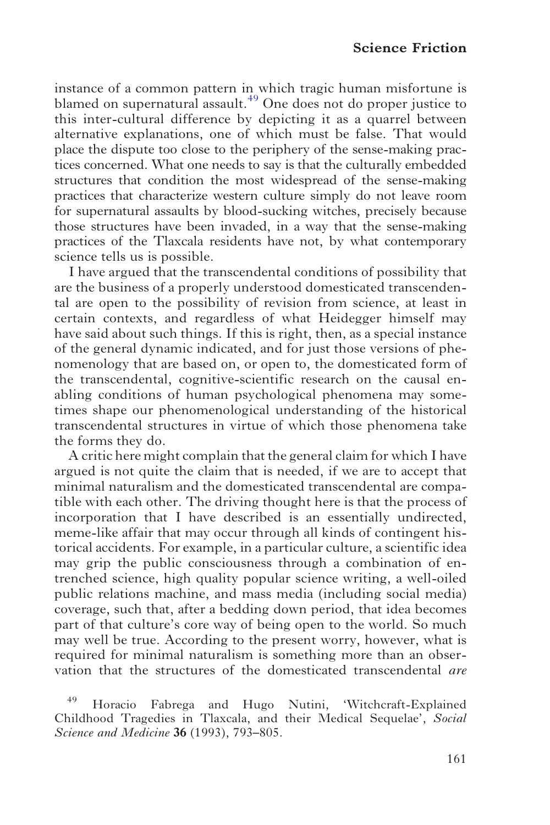instance of a common pattern in which tragic human misfortune is blamed on supernatural assault.<sup>49</sup> One does not do proper justice to this inter-cultural difference by depicting it as a quarrel between alternative explanations, one of which must be false. That would place the dispute too close to the periphery of the sense-making practices concerned. What one needs to say is that the culturally embedded structures that condition the most widespread of the sense-making practices that characterize western culture simply do not leave room for supernatural assaults by blood-sucking witches, precisely because those structures have been invaded, in a way that the sense-making practices of the Tlaxcala residents have not, by what contemporary science tells us is possible.

I have argued that the transcendental conditions of possibility that are the business of a properly understood domesticated transcendental are open to the possibility of revision from science, at least in certain contexts, and regardless of what Heidegger himself may have said about such things. If this is right, then, as a special instance of the general dynamic indicated, and for just those versions of phenomenology that are based on, or open to, the domesticated form of the transcendental, cognitive-scientific research on the causal enabling conditions of human psychological phenomena may sometimes shape our phenomenological understanding of the historical transcendental structures in virtue of which those phenomena take the forms they do.

A critic here might complain that the general claim for which I have argued is not quite the claim that is needed, if we are to accept that minimal naturalism and the domesticated transcendental are compatible with each other. The driving thought here is that the process of incorporation that I have described is an essentially undirected, meme-like affair that may occur through all kinds of contingent historical accidents. For example, in a particular culture, a scientific idea may grip the public consciousness through a combination of entrenched science, high quality popular science writing, a well-oiled public relations machine, and mass media (including social media) coverage, such that, after a bedding down period, that idea becomes part of that culture's core way of being open to the world. So much may well be true. According to the present worry, however, what is required for minimal naturalism is something more than an observation that the structures of the domesticated transcendental are

<sup>49</sup> Horacio Fabrega and Hugo Nutini, 'Witchcraft-Explained Childhood Tragedies in Tlaxcala, and their Medical Sequelae', Social Science and Medicine 36 (1993), 793–805.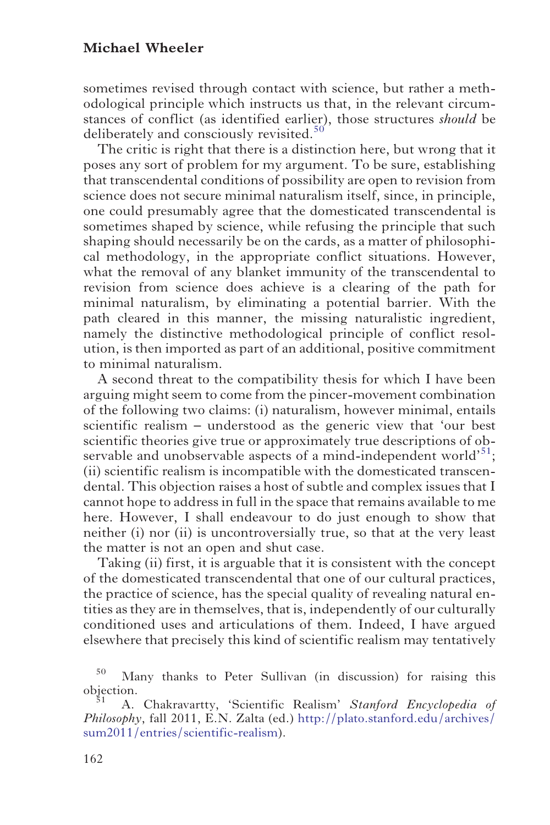sometimes revised through contact with science, but rather a methodological principle which instructs us that, in the relevant circumstances of conflict (as identified earlier), those structures should be deliberately and consciously revisited.<sup>50</sup>

The critic is right that there is a distinction here, but wrong that it poses any sort of problem for my argument. To be sure, establishing that transcendental conditions of possibility are open to revision from science does not secure minimal naturalism itself, since, in principle, one could presumably agree that the domesticated transcendental is sometimes shaped by science, while refusing the principle that such shaping should necessarily be on the cards, as a matter of philosophical methodology, in the appropriate conflict situations. However, what the removal of any blanket immunity of the transcendental to revision from science does achieve is a clearing of the path for minimal naturalism, by eliminating a potential barrier. With the path cleared in this manner, the missing naturalistic ingredient, namely the distinctive methodological principle of conflict resolution, is then imported as part of an additional, positive commitment to minimal naturalism.

A second threat to the compatibility thesis for which I have been arguing might seem to come from the pincer-movement combination of the following two claims: (i) naturalism, however minimal, entails scientific realism – understood as the generic view that 'our best scientific theories give true or approximately true descriptions of observable and unobservable aspects of a mind-independent world'<sup>51</sup>; (ii) scientific realism is incompatible with the domesticated transcendental. This objection raises a host of subtle and complex issues that I cannot hope to address in full in the space that remains available to me here. However, I shall endeavour to do just enough to show that neither (i) nor (ii) is uncontroversially true, so that at the very least the matter is not an open and shut case.

Taking (ii) first, it is arguable that it is consistent with the concept of the domesticated transcendental that one of our cultural practices, the practice of science, has the special quality of revealing natural entities as they are in themselves, that is, independently of our culturally conditioned uses and articulations of them. Indeed, I have argued elsewhere that precisely this kind of scientific realism may tentatively

<sup>50</sup> Many thanks to Peter Sullivan (in discussion) for raising this objection.

A. Chakravartty, 'Scientific Realism' Stanford Encyclopedia of Philosophy, fall 2011, E.N. Zalta (ed.) [http:](http://plato.stanford.edu/archives/sum2011/entries/scientific-realism)//[plato.stanford.edu](http://plato.stanford.edu/archives/sum2011/entries/scientific-realism)/archives/ sum2011/entries/[scientific-realism\)](http://plato.stanford.edu/archives/sum2011/entries/scientific-realism).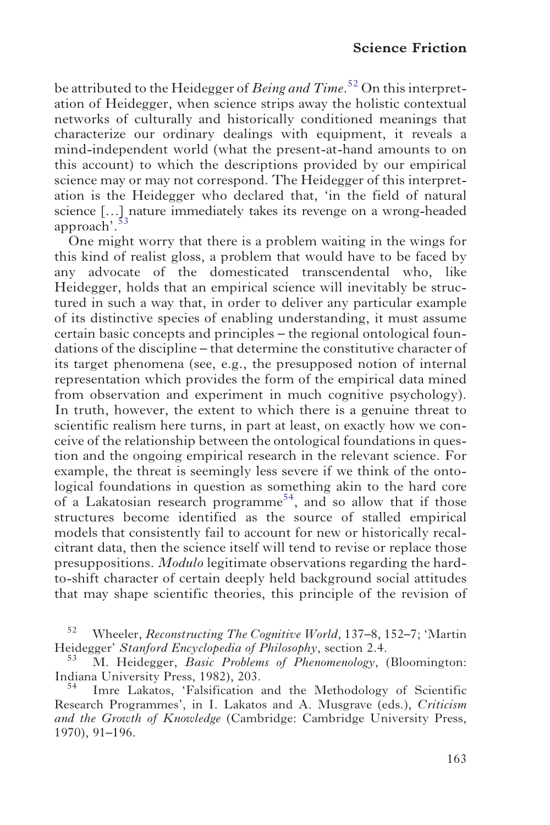be attributed to the Heidegger of  $\it Being$  and  $\it Time$   $^{52}$  On this interpretation of Heidegger, when science strips away the holistic contextual networks of culturally and historically conditioned meanings that characterize our ordinary dealings with equipment, it reveals a mind-independent world (what the present-at-hand amounts to on this account) to which the descriptions provided by our empirical science may or may not correspond. The Heidegger of this interpretation is the Heidegger who declared that, 'in the field of natural science […] nature immediately takes its revenge on a wrong-headed approach'. 53

One might worry that there is a problem waiting in the wings for this kind of realist gloss, a problem that would have to be faced by any advocate of the domesticated transcendental who, like Heidegger, holds that an empirical science will inevitably be structured in such a way that, in order to deliver any particular example of its distinctive species of enabling understanding, it must assume certain basic concepts and principles – the regional ontological foundations of the discipline – that determine the constitutive character of its target phenomena (see, e.g., the presupposed notion of internal representation which provides the form of the empirical data mined from observation and experiment in much cognitive psychology). In truth, however, the extent to which there is a genuine threat to scientific realism here turns, in part at least, on exactly how we conceive of the relationship between the ontological foundations in question and the ongoing empirical research in the relevant science. For example, the threat is seemingly less severe if we think of the ontological foundations in question as something akin to the hard core of a Lakatosian research programme<sup>54</sup>, and so allow that if those structures become identified as the source of stalled empirical models that consistently fail to account for new or historically recalcitrant data, then the science itself will tend to revise or replace those presuppositions. Modulo legitimate observations regarding the hardto-shift character of certain deeply held background social attitudes that may shape scientific theories, this principle of the revision of

<sup>52</sup> Wheeler, Reconstructing The Cognitive World, 137–8, 152–7; 'Martin Heidegger' Stanford Encyclopedia of Philosophy, section 2.4.

M. Heidegger, *Basic Problems of Phenomenology*, (Bloomington: Indiana University Press, 1982), 203.

Imre Lakatos, 'Falsification and the Methodology of Scientific Research Programmes', in I. Lakatos and A. Musgrave (eds.), Criticism and the Growth of Knowledge (Cambridge: Cambridge University Press, 1970), 91–196.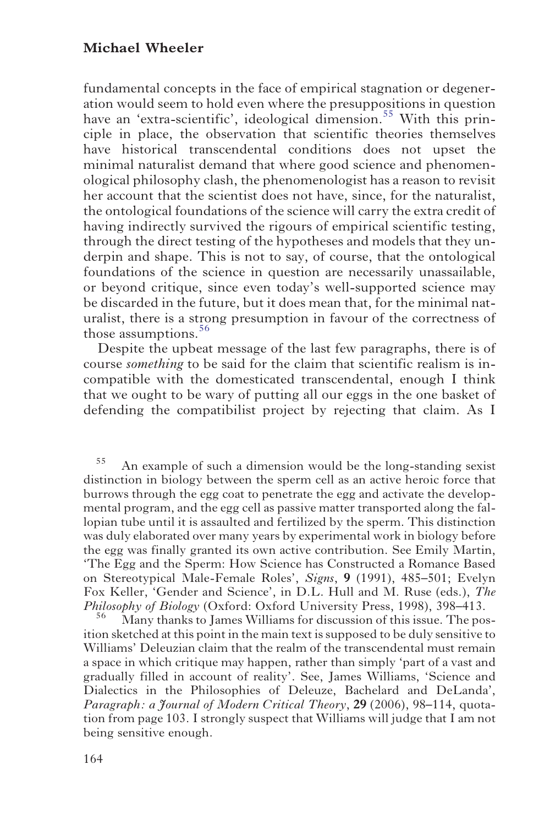fundamental concepts in the face of empirical stagnation or degeneration would seem to hold even where the presuppositions in question have an 'extra-scientific', ideological dimension.<sup>55</sup> With this principle in place, the observation that scientific theories themselves have historical transcendental conditions does not upset the minimal naturalist demand that where good science and phenomenological philosophy clash, the phenomenologist has a reason to revisit her account that the scientist does not have, since, for the naturalist, the ontological foundations of the science will carry the extra credit of having indirectly survived the rigours of empirical scientific testing, through the direct testing of the hypotheses and models that they underpin and shape. This is not to say, of course, that the ontological foundations of the science in question are necessarily unassailable, or beyond critique, since even today's well-supported science may be discarded in the future, but it does mean that, for the minimal naturalist, there is a strong presumption in favour of the correctness of those assumptions.<sup>56</sup>

Despite the upbeat message of the last few paragraphs, there is of course something to be said for the claim that scientific realism is incompatible with the domesticated transcendental, enough I think that we ought to be wary of putting all our eggs in the one basket of defending the compatibilist project by rejecting that claim. As I

<sup>55</sup> An example of such a dimension would be the long-standing sexist distinction in biology between the sperm cell as an active heroic force that burrows through the egg coat to penetrate the egg and activate the developmental program, and the egg cell as passive matter transported along the fallopian tube until it is assaulted and fertilized by the sperm. This distinction was duly elaborated over many years by experimental work in biology before the egg was finally granted its own active contribution. See Emily Martin, 'The Egg and the Sperm: How Science has Constructed a Romance Based on Stereotypical Male-Female Roles', Signs, 9 (1991), 485–501; Evelyn Fox Keller, 'Gender and Science', in D.L. Hull and M. Ruse (eds.), The Philosophy of Biology (Oxford: Oxford University Press, 1998), 398–413.

Many thanks to James Williams for discussion of this issue. The position sketched at this point in the main text is supposed to be duly sensitive to Williams' Deleuzian claim that the realm of the transcendental must remain a space in which critique may happen, rather than simply 'part of a vast and gradually filled in account of reality'. See, James Williams, 'Science and Dialectics in the Philosophies of Deleuze, Bachelard and DeLanda', Paragraph: a Journal of Modern Critical Theory, 29 (2006), 98–114, quotation from page 103. I strongly suspect that Williams will judge that I am not being sensitive enough.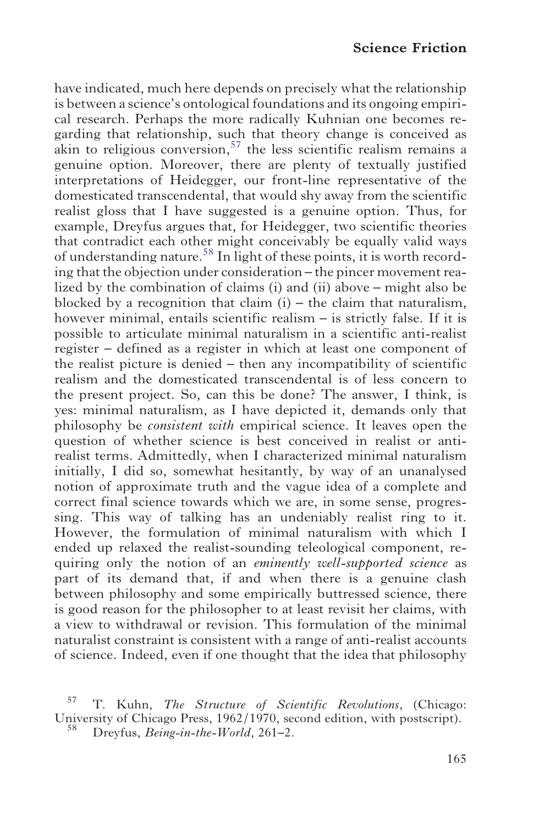have indicated, much here depends on precisely what the relationship is between a science's ontological foundations and its ongoing empirical research. Perhaps the more radically Kuhnian one becomes regarding that relationship, such that theory change is conceived as akin to religious conversion,  $57$  the less scientific realism remains a genuine option. Moreover, there are plenty of textually justified interpretations of Heidegger, our front-line representative of the domesticated transcendental, that would shy away from the scientific realist gloss that I have suggested is a genuine option. Thus, for example, Dreyfus argues that, for Heidegger, two scientific theories that contradict each other might conceivably be equally valid ways of understanding nature.<sup>58</sup> In light of these points, it is worth recording that the objection under consideration – the pincer movement realized by the combination of claims (i) and (ii) above – might also be blocked by a recognition that claim  $(i)$  – the claim that naturalism, however minimal, entails scientific realism – is strictly false. If it is possible to articulate minimal naturalism in a scientific anti-realist register – defined as a register in which at least one component of the realist picture is denied – then any incompatibility of scientific realism and the domesticated transcendental is of less concern to the present project. So, can this be done? The answer, I think, is yes: minimal naturalism, as I have depicted it, demands only that philosophy be consistent with empirical science. It leaves open the question of whether science is best conceived in realist or antirealist terms. Admittedly, when I characterized minimal naturalism initially, I did so, somewhat hesitantly, by way of an unanalysed notion of approximate truth and the vague idea of a complete and correct final science towards which we are, in some sense, progressing. This way of talking has an undeniably realist ring to it. However, the formulation of minimal naturalism with which I ended up relaxed the realist-sounding teleological component, requiring only the notion of an eminently well-supported science as part of its demand that, if and when there is a genuine clash between philosophy and some empirically buttressed science, there is good reason for the philosopher to at least revisit her claims, with a view to withdrawal or revision. This formulation of the minimal naturalist constraint is consistent with a range of anti-realist accounts of science. Indeed, even if one thought that the idea that philosophy

<sup>57</sup> T. Kuhn, The Structure of Scientific Revolutions, (Chicago: University of Chicago Press,  $1962/1970$ , second edition, with postscript). <sup>58</sup> Dreyfus, Being-in-the-World, 261–2.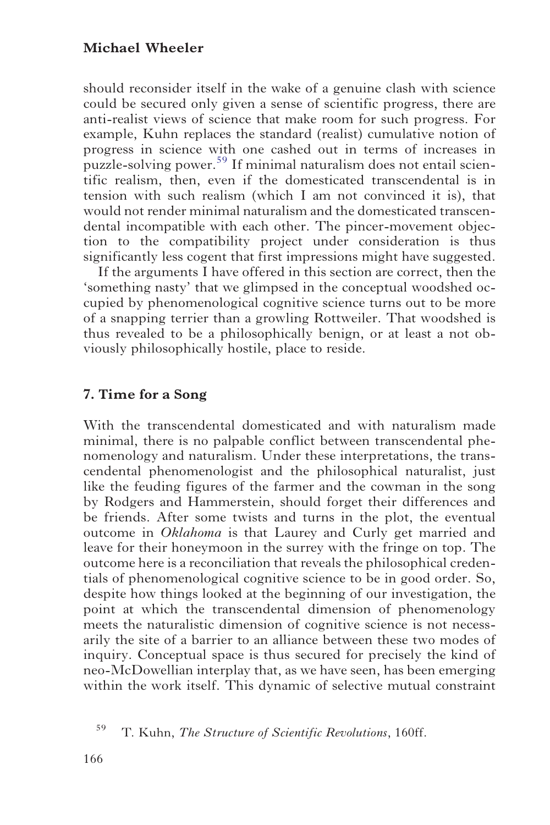should reconsider itself in the wake of a genuine clash with science could be secured only given a sense of scientific progress, there are anti-realist views of science that make room for such progress. For example, Kuhn replaces the standard (realist) cumulative notion of progress in science with one cashed out in terms of increases in puzzle-solving power.<sup>59</sup> If minimal naturalism does not entail scientific realism, then, even if the domesticated transcendental is in tension with such realism (which I am not convinced it is), that would not render minimal naturalism and the domesticated transcendental incompatible with each other. The pincer-movement objection to the compatibility project under consideration is thus significantly less cogent that first impressions might have suggested.

If the arguments I have offered in this section are correct, then the 'something nasty' that we glimpsed in the conceptual woodshed occupied by phenomenological cognitive science turns out to be more of a snapping terrier than a growling Rottweiler. That woodshed is thus revealed to be a philosophically benign, or at least a not obviously philosophically hostile, place to reside.

#### 7. Time for a Song

With the transcendental domesticated and with naturalism made minimal, there is no palpable conflict between transcendental phenomenology and naturalism. Under these interpretations, the transcendental phenomenologist and the philosophical naturalist, just like the feuding figures of the farmer and the cowman in the song by Rodgers and Hammerstein, should forget their differences and be friends. After some twists and turns in the plot, the eventual outcome in Oklahoma is that Laurey and Curly get married and leave for their honeymoon in the surrey with the fringe on top. The outcome here is a reconciliation that reveals the philosophical credentials of phenomenological cognitive science to be in good order. So, despite how things looked at the beginning of our investigation, the point at which the transcendental dimension of phenomenology meets the naturalistic dimension of cognitive science is not necessarily the site of a barrier to an alliance between these two modes of inquiry. Conceptual space is thus secured for precisely the kind of neo-McDowellian interplay that, as we have seen, has been emerging within the work itself. This dynamic of selective mutual constraint

<sup>&</sup>lt;sup>59</sup> T. Kuhn, *The Structure of Scientific Revolutions*, 160ff.